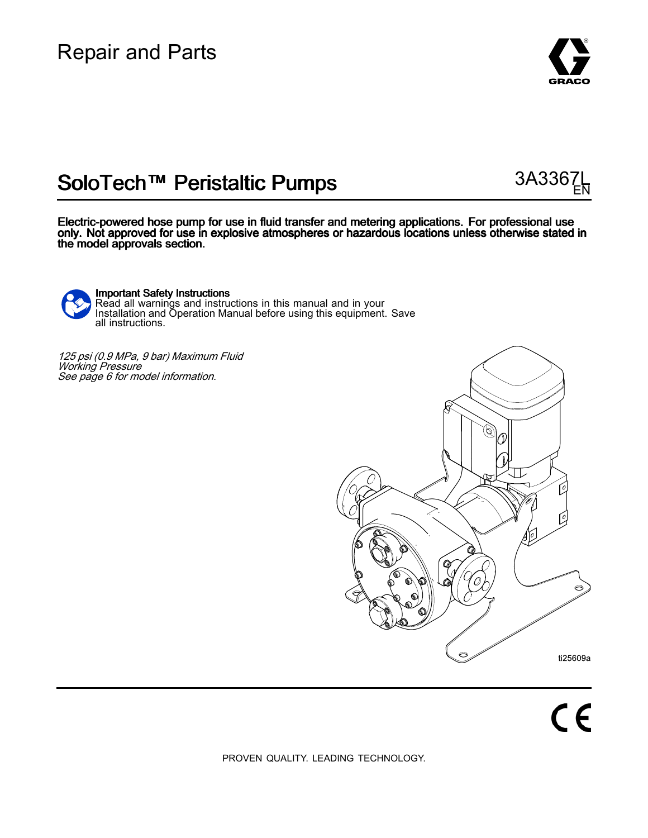## Repair and Parts



EN

# SoloTech™ Peristaltic Pumps 3A3367

Electric-powered hose pump for use in fluid transfer and metering applications. For professional use only. Not approved for use in explosive atmospheres or hazardous locations unless otherwise stated in the model approvals section.

Important Safety Instructions Read all warnings and instructions in this manual and in your Installation and Operation Manual before using this equipment. Save all instructions.

<sup>125</sup> psi (0.9 MPa, <sup>9</sup> bar) Maximum Fluid Working Pressure See page <sup>6</sup> for model information.



PROVEN QUALITY. LEADING TECHNOLOGY.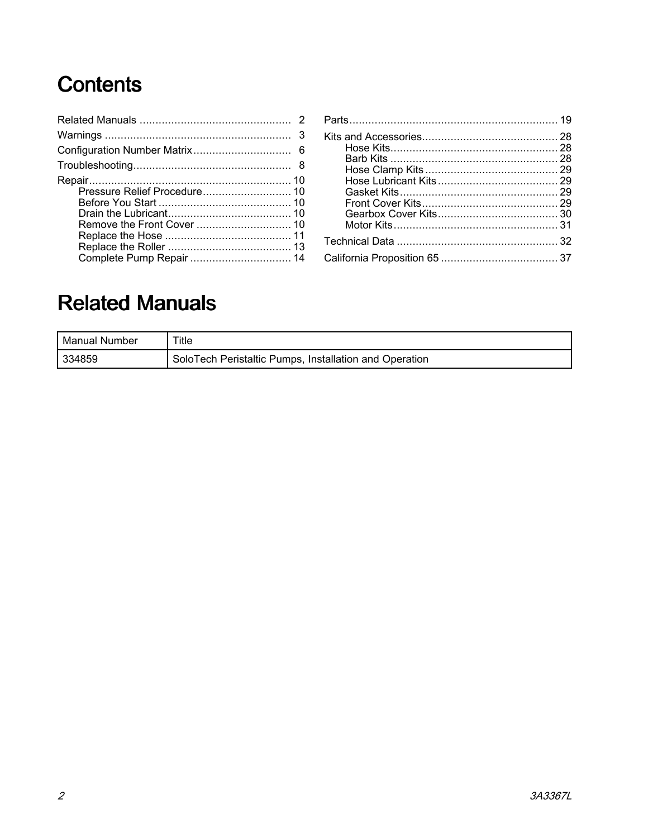# Contents

| Pressure Relief Procedure 10<br>Complete Pump Repair  14 |  |
|----------------------------------------------------------|--|

# **Related Manuals**

| l Manual Number | ™itle                                                  |
|-----------------|--------------------------------------------------------|
| 334859          | SoloTech Peristaltic Pumps, Installation and Operation |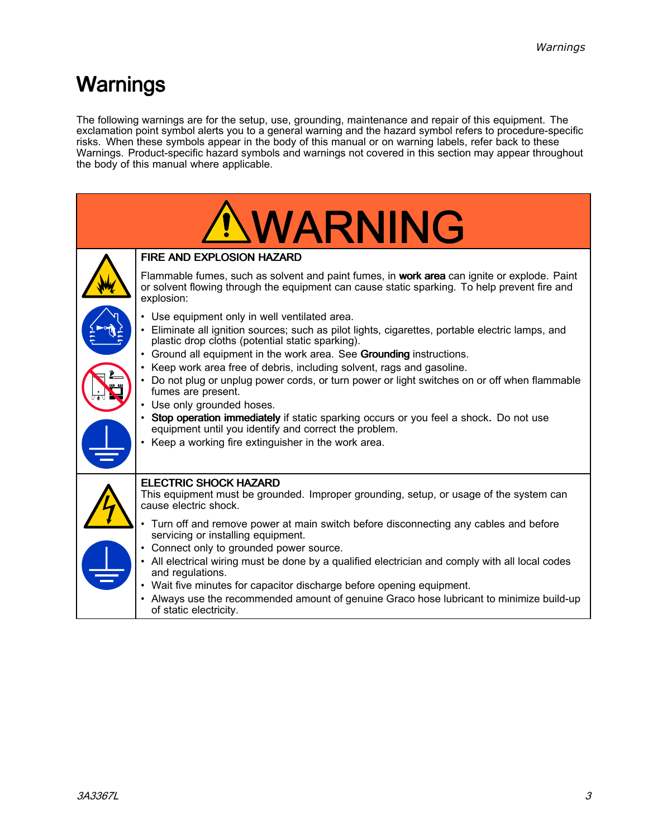# <span id="page-2-0"></span>Warnings

The following warnings are for the setup, use, grounding, maintenance and repair of this equipment. The exclamation point symbol alerts you to a general warning and the hazard symbol refers to procedure-specific<br>risks. When these symbols annear in the body of this manual or on warning labels, refer back to these risks. When these symbols appear in the body of this manual or on warning labels, refer back to these<br>Warnings, Product specific bazard symbols and warnings not covered in this section may appear throu Warnings. Product-specific hazard symbols and warnings not covered in this section may appear throughout<br>the body of this manual where applicable the body of this manual where applicable.

| <b>NWARNING</b>                                                                                                                                                                                           |
|-----------------------------------------------------------------------------------------------------------------------------------------------------------------------------------------------------------|
| <b>FIRE AND EXPLOSION HAZARD</b>                                                                                                                                                                          |
| Flammable fumes, such as solvent and paint fumes, in work area can ignite or explode. Paint<br>or solvent flowing through the equipment can cause static sparking. To help prevent fire and<br>explosion: |
| • Use equipment only in well ventilated area.<br>• Eliminate all ignition sources; such as pilot lights, cigarettes, portable electric lamps, and<br>plastic drop cloths (potential static sparking).     |
| • Ground all equipment in the work area. See Grounding instructions.<br>• Keep work area free of debris, including solvent, rags and gasoline.                                                            |
| • Do not plug or unplug power cords, or turn power or light switches on or off when flammable<br>fumes are present.<br>• Use only grounded hoses.                                                         |
| • Stop operation immediately if static sparking occurs or you feel a shock. Do not use<br>equipment until you identify and correct the problem.<br>• Keep a working fire extinguisher in the work area.   |
|                                                                                                                                                                                                           |
| <b>ELECTRIC SHOCK HAZARD</b><br>This equipment must be grounded. Improper grounding, setup, or usage of the system can<br>cause electric shock.                                                           |
| • Turn off and remove power at main switch before disconnecting any cables and before<br>servicing or installing equipment.                                                                               |
| Connect only to grounded power source.<br>• All electrical wiring must be done by a qualified electrician and comply with all local codes<br>and regulations.                                             |
| • Wait five minutes for capacitor discharge before opening equipment.<br>• Always use the recommended amount of genuine Graco hose lubricant to minimize build-up<br>of static electricity.               |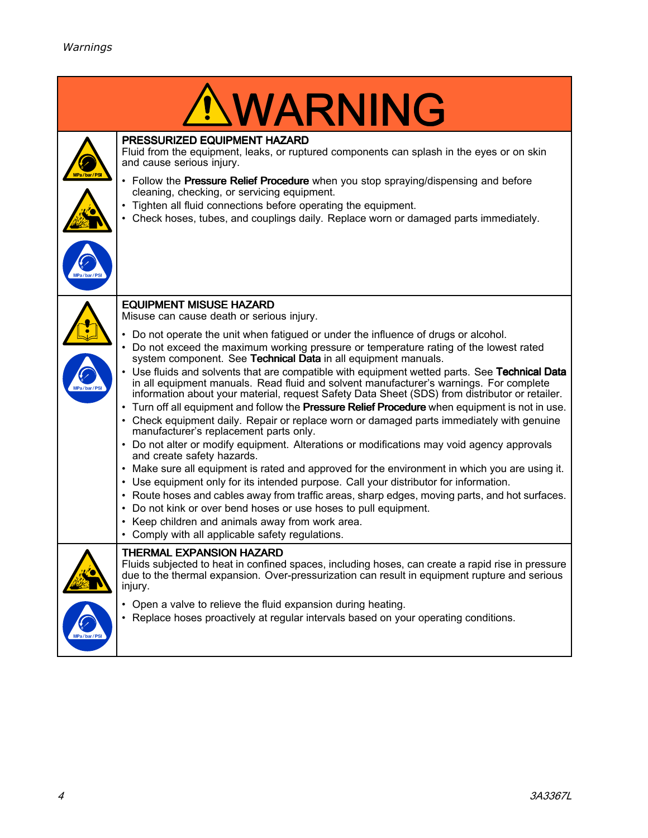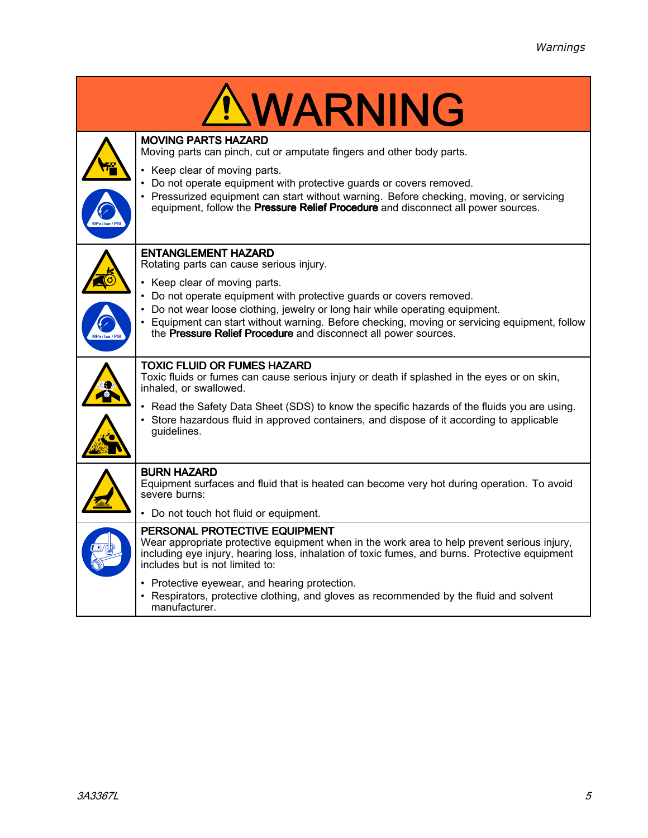|             | <u>'NWARNING</u>                                                                                                                                                                                                                                                  |
|-------------|-------------------------------------------------------------------------------------------------------------------------------------------------------------------------------------------------------------------------------------------------------------------|
|             | <b>MOVING PARTS HAZARD</b><br>Moving parts can pinch, cut or amputate fingers and other body parts.                                                                                                                                                               |
|             | • Keep clear of moving parts.<br>Do not operate equipment with protective guards or covers removed.                                                                                                                                                               |
| Pa/bar/PS   | • Pressurized equipment can start without warning. Before checking, moving, or servicing<br>equipment, follow the Pressure Relief Procedure and disconnect all power sources.                                                                                     |
|             | <b>ENTANGLEMENT HAZARD</b><br>Rotating parts can cause serious injury.                                                                                                                                                                                            |
|             | • Keep clear of moving parts.<br>Do not operate equipment with protective guards or covers removed.                                                                                                                                                               |
| MPa/bar/PSI | Do not wear loose clothing, jewelry or long hair while operating equipment.<br>• Equipment can start without warning. Before checking, moving or servicing equipment, follow<br>the Pressure Relief Procedure and disconnect all power sources.                   |
|             | TOXIC FLUID OR FUMES HAZARD<br>Toxic fluids or fumes can cause serious injury or death if splashed in the eyes or on skin,<br>inhaled, or swallowed.                                                                                                              |
|             | • Read the Safety Data Sheet (SDS) to know the specific hazards of the fluids you are using.<br>• Store hazardous fluid in approved containers, and dispose of it according to applicable<br>guidelines.                                                          |
|             | <b>BURN HAZARD</b><br>Equipment surfaces and fluid that is heated can become very hot during operation. To avoid<br>severe burns:                                                                                                                                 |
|             | • Do not touch hot fluid or equipment.                                                                                                                                                                                                                            |
|             | PERSONAL PROTECTIVE EQUIPMENT<br>Wear appropriate protective equipment when in the work area to help prevent serious injury,<br>including eye injury, hearing loss, inhalation of toxic fumes, and burns. Protective equipment<br>includes but is not limited to: |
|             | • Protective eyewear, and hearing protection.<br>• Respirators, protective clothing, and gloves as recommended by the fluid and solvent<br>manufacturer.                                                                                                          |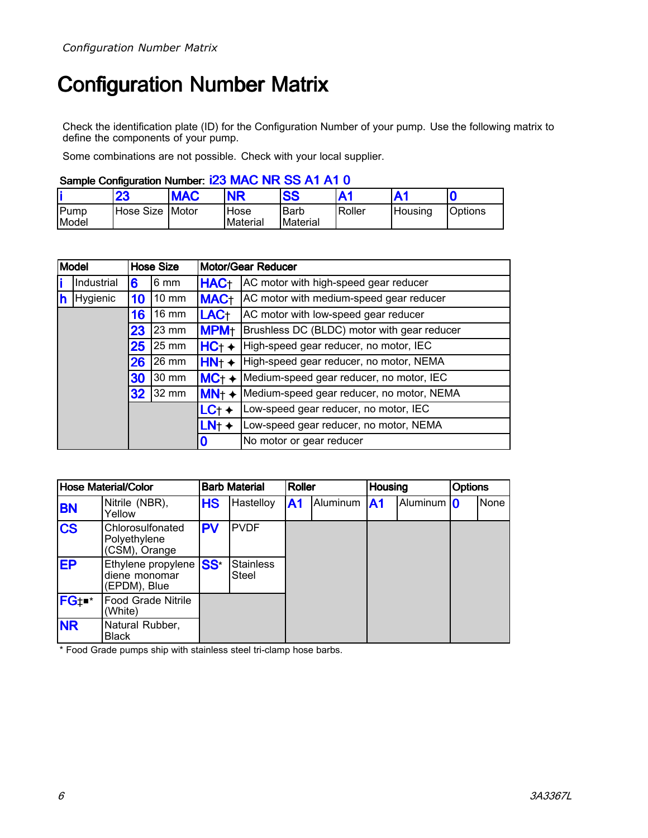# <span id="page-5-0"></span>**Configuration Number Matrix**

Check the identification plate (ID) for the Configuration Number of your pump. Use the following matrix to define the components of your pump.

Some combinations are not possible. Check with your local supplier.

### Sample Configuration Number: i23 MAC NR SS A1 A1 0

|               | 23              | <b>MAC</b> | <b>NR</b>        | <b>SS</b>               | Α1     |          | C              |
|---------------|-----------------|------------|------------------|-------------------------|--------|----------|----------------|
| Pump<br>Model | Hose Size Motor |            | Hose<br>Material | <b>Barb</b><br>Material | Roller | lHousina | <b>Options</b> |

|   | <b>Model</b> |    | <b>Hose Size</b> |                  | <b>Motor/Gear Reducer</b>                   |
|---|--------------|----|------------------|------------------|---------------------------------------------|
|   | Industrial   | 6  | 6 mm             | HAC <sub>T</sub> | AC motor with high-speed gear reducer       |
| h | Hygienic     | 10 | $10 \text{ mm}$  | <b>MAC+</b>      | AC motor with medium-speed gear reducer     |
|   |              | 16 | $16 \text{ mm}$  | LAC <sub>t</sub> | AC motor with low-speed gear reducer        |
|   |              | 23 | 23 mm            | <b>MPM+</b>      | Brushless DC (BLDC) motor with gear reducer |
|   |              | 25 | 25 mm            | $HC_+$ +         | High-speed gear reducer, no motor, IEC      |
|   |              | 26 | 26 mm            | HN <sub>†</sub>  | High-speed gear reducer, no motor, NEMA     |
|   |              | 30 | 30 mm            | $MC++$           | Medium-speed gear reducer, no motor, IEC    |
|   |              | 32 | 32 mm            | MN <sub>†</sub>  | Medium-speed gear reducer, no motor, NEMA   |
|   |              |    |                  | LC <sub>†</sub>  | Low-speed gear reducer, no motor, IEC       |
|   |              |    |                  | LN <sub>†</sub>  | Low-speed gear reducer, no motor, NEMA      |
|   |              |    |                  | 0                | No motor or gear reducer                    |

| <b>Hose Material/Color</b> |                                                     | <b>Barb Material</b> |                           | <b>Roller</b> |          | <b>Housing</b> |              | <b>Options</b> |      |
|----------------------------|-----------------------------------------------------|----------------------|---------------------------|---------------|----------|----------------|--------------|----------------|------|
| <b>BN</b>                  | Nitrile (NBR),<br>Yellow                            | <b>HS</b>            | Hastelloy                 | $\mathsf{A}1$ | Aluminum | <b>A1</b>      | Aluminum   0 |                | None |
| <b>CS</b>                  | Chlorosulfonated<br>Polyethylene<br>(CSM), Orange   | <b>PV</b>            | <b>PVDF</b>               |               |          |                |              |                |      |
| <b>EP</b>                  | Ethylene propylene<br>diene monomar<br>(EPDM), Blue | SS <sup>*</sup>      | <b>Stainless</b><br>Steel |               |          |                |              |                |      |
| FG <sub>t</sub>            | Food Grade Nitrile<br>(White)                       |                      |                           |               |          |                |              |                |      |
| <b>NR</b>                  | Natural Rubber,<br><b>Black</b>                     |                      |                           |               |          |                |              |                |      |

\* Food Grade pumps ship with stainless steel tri-clamp hose barbs.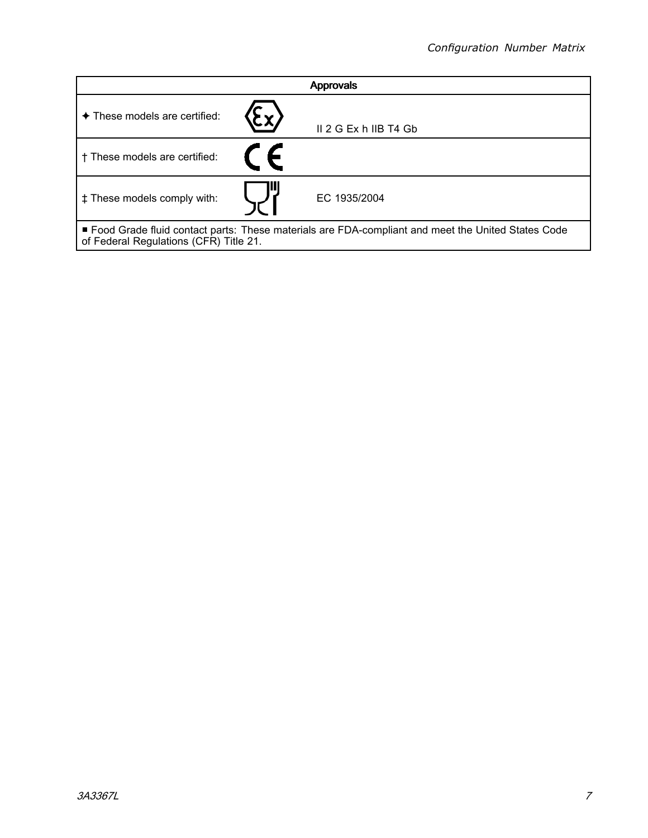| <b>Approvals</b>                                                                                                                              |  |                         |  |  |
|-----------------------------------------------------------------------------------------------------------------------------------------------|--|-------------------------|--|--|
| ◆ These models are certified:                                                                                                                 |  | $II$ 2 G Ex h IIB T4 Gb |  |  |
| † These models are certified:                                                                                                                 |  |                         |  |  |
| # These models comply with:                                                                                                                   |  | EC 1935/2004            |  |  |
| ■ Food Grade fluid contact parts: These materials are FDA-compliant and meet the United States Code<br>of Federal Regulations (CFR) Title 21. |  |                         |  |  |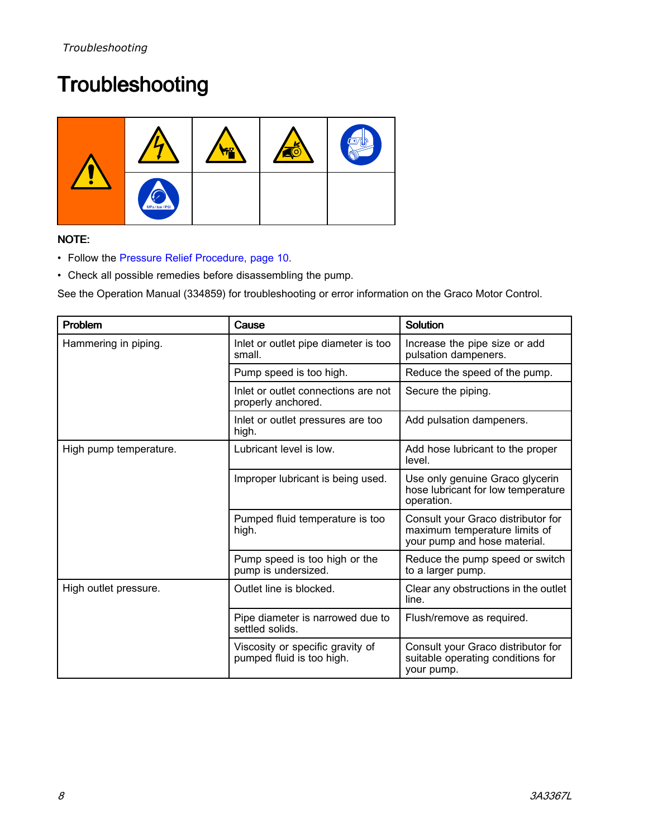# <span id="page-7-0"></span>**Troubleshooting**



### NOTE:

- Follow the Pressure Relief [Procedure,](#page-9-0) page [10](#page-9-0).
- Check all possible remedies before disassembling the pump.

See the Operation Manual (334859) for troubleshooting or error information on the Graco Motor Control.

| Problem                | Cause                                                         | <b>Solution</b>                                                                                     |
|------------------------|---------------------------------------------------------------|-----------------------------------------------------------------------------------------------------|
| Hammering in piping.   | Inlet or outlet pipe diameter is too<br>small.                | Increase the pipe size or add<br>pulsation dampeners.                                               |
|                        | Pump speed is too high.                                       | Reduce the speed of the pump.                                                                       |
|                        | Inlet or outlet connections are not<br>properly anchored.     | Secure the piping.                                                                                  |
|                        | Inlet or outlet pressures are too<br>high.                    | Add pulsation dampeners.                                                                            |
| High pump temperature. | Lubricant level is low.                                       | Add hose lubricant to the proper<br>level.                                                          |
|                        | Improper lubricant is being used.                             | Use only genuine Graco glycerin<br>hose lubricant for low temperature<br>operation.                 |
|                        | Pumped fluid temperature is too<br>high.                      | Consult your Graco distributor for<br>maximum temperature limits of<br>your pump and hose material. |
|                        | Pump speed is too high or the<br>pump is undersized.          | Reduce the pump speed or switch<br>to a larger pump.                                                |
| High outlet pressure.  | Outlet line is blocked.                                       | Clear any obstructions in the outlet<br>line.                                                       |
|                        | Pipe diameter is narrowed due to<br>settled solids.           | Flush/remove as required.                                                                           |
|                        | Viscosity or specific gravity of<br>pumped fluid is too high. | Consult your Graco distributor for<br>suitable operating conditions for<br>your pump.               |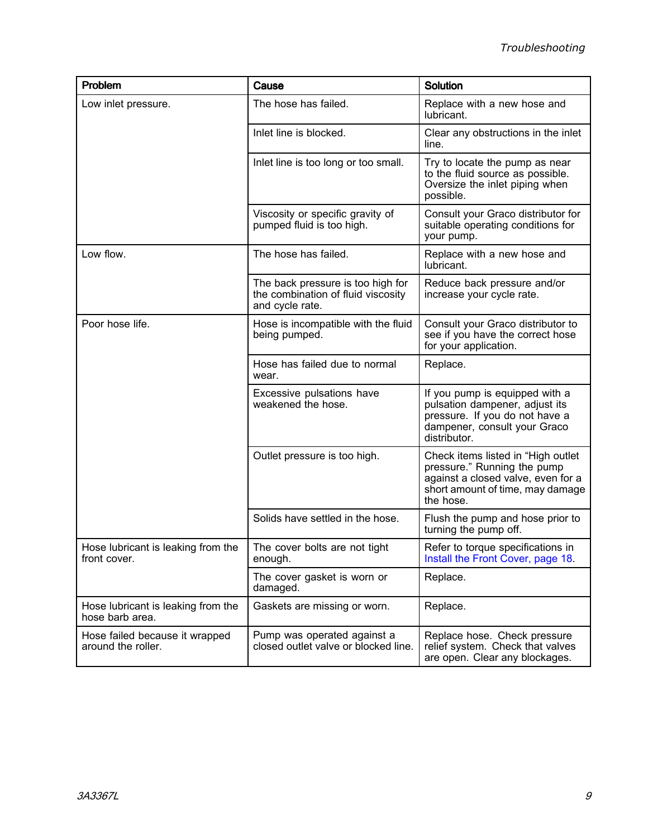| Problem                                               | Cause                                                                                      | Solution                                                                                                                                                 |  |  |
|-------------------------------------------------------|--------------------------------------------------------------------------------------------|----------------------------------------------------------------------------------------------------------------------------------------------------------|--|--|
| Low inlet pressure.                                   | The hose has failed.                                                                       | Replace with a new hose and<br>lubricant.                                                                                                                |  |  |
|                                                       | Inlet line is blocked.                                                                     | Clear any obstructions in the inlet<br>line.                                                                                                             |  |  |
|                                                       | Inlet line is too long or too small.                                                       | Try to locate the pump as near<br>to the fluid source as possible.<br>Oversize the inlet piping when<br>possible.                                        |  |  |
|                                                       | Viscosity or specific gravity of<br>pumped fluid is too high.                              | Consult your Graco distributor for<br>suitable operating conditions for<br>your pump.                                                                    |  |  |
| Low flow.                                             | The hose has failed.                                                                       | Replace with a new hose and<br>lubricant.                                                                                                                |  |  |
|                                                       | The back pressure is too high for<br>the combination of fluid viscosity<br>and cycle rate. | Reduce back pressure and/or<br>increase your cycle rate.                                                                                                 |  |  |
| Poor hose life.                                       | Hose is incompatible with the fluid<br>being pumped.                                       | Consult your Graco distributor to<br>see if you have the correct hose<br>for your application.                                                           |  |  |
|                                                       | Hose has failed due to normal<br>wear.                                                     | Replace.                                                                                                                                                 |  |  |
|                                                       | Excessive pulsations have<br>weakened the hose.                                            | If you pump is equipped with a<br>pulsation dampener, adjust its<br>pressure. If you do not have a<br>dampener, consult your Graco<br>distributor.       |  |  |
|                                                       | Outlet pressure is too high.                                                               | Check items listed in "High outlet<br>pressure." Running the pump<br>against a closed valve, even for a<br>short amount of time, may damage<br>the hose. |  |  |
|                                                       | Solids have settled in the hose.                                                           | Flush the pump and hose prior to<br>turning the pump off.                                                                                                |  |  |
| Hose lubricant is leaking from the<br>front cover.    | The cover bolts are not tight<br>enough.                                                   | Refer to torque specifications in<br>Install the Front Cover, page 18.                                                                                   |  |  |
|                                                       | The cover gasket is worn or<br>damaged.                                                    | Replace.                                                                                                                                                 |  |  |
| Hose lubricant is leaking from the<br>hose barb area. | Gaskets are missing or worn.                                                               | Replace.                                                                                                                                                 |  |  |
| Hose failed because it wrapped<br>around the roller.  | Pump was operated against a<br>closed outlet valve or blocked line.                        | Replace hose. Check pressure<br>relief system. Check that valves<br>are open. Clear any blockages.                                                       |  |  |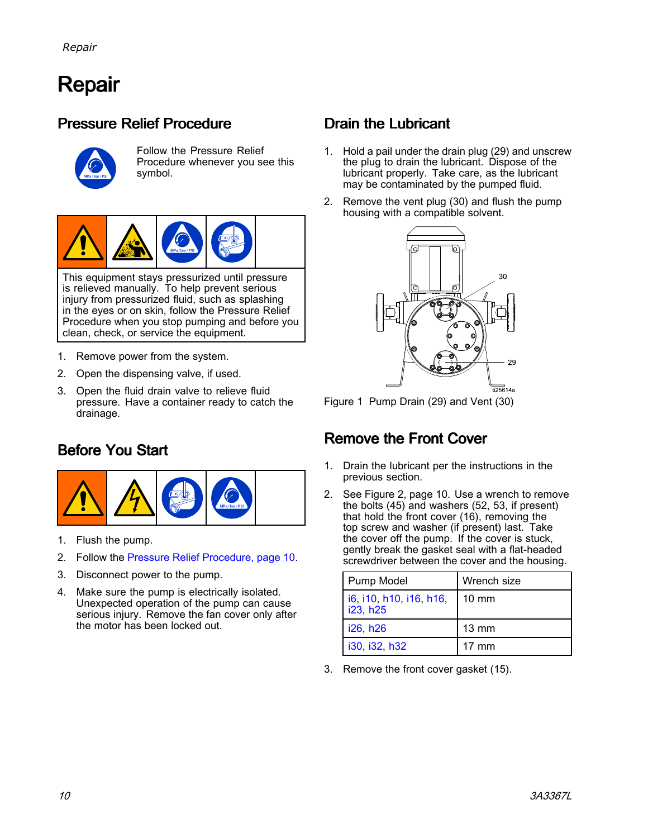# <span id="page-9-0"></span>Repair

## Pressure Relief Procedure



Follow the Pressure Relief Procedure whenever you see this symbol.



This equipment stays pressurized until pressure is relieved manually. To help prevent serious injury from pressurized fluid, such as splashing in the eyes or on skin, follow the Pressure Relief Procedure when you stop pumping and before you clean, check, or service the equipment.

- 1. Remove power from the system.
- 2. Open the dispensing valve, if used.
- 3. Open the fluid drain valve to relieve fluid pressure. Have <sup>a</sup> container ready to catch the drainage.

## Before You Start



- 1. Flush the pump.
- 2. Follow the Pressure Relief Procedure, page 10.
- 3. Disconnect power to the pump.
- 4. Make sure the pump is electrically isolated. Unexpected operation of the pump can cause serious injury. Remove the fan cover only after the motor has been locked out.

## Drain the Lubricant

- 1. Hold <sup>a</sup> pail under the drain plug (29) and unscrew the plug to drain the lubricant. Dispose of the lubricant properly. Take care, as the lubricant may be contaminated by the pumped fluid.
- 2. Remove the vent plug (30) and flush the pump housing with a compatible solvent.



Figure <sup>1</sup> Pump Drain (29) and Vent (30)

## Remove the Front Cover

- 1. Drain the lubricant per the instructions in the previous section.
- 2. See Figure 2, page 10. Use <sup>a</sup> wrench to remove the bolts (45) and washers (52, 53, if present) that hold the front cover (16), removing the top screw and washer (if present) last. Take the cover off the pump. If the cover is stuck, gently break the gasket seal with <sup>a</sup> flat-headed screwdriver between the cover and the housing.

| Pump Model                          | Wrench size     |
|-------------------------------------|-----------------|
| i6, i10, h10, i16, h16,<br>i23, h25 | $10 \text{ mm}$ |
| i26, h26                            | $13 \text{ mm}$ |
| i30, i32, h32                       | $17 \text{ mm}$ |

3. Remove the front cover gasket (15).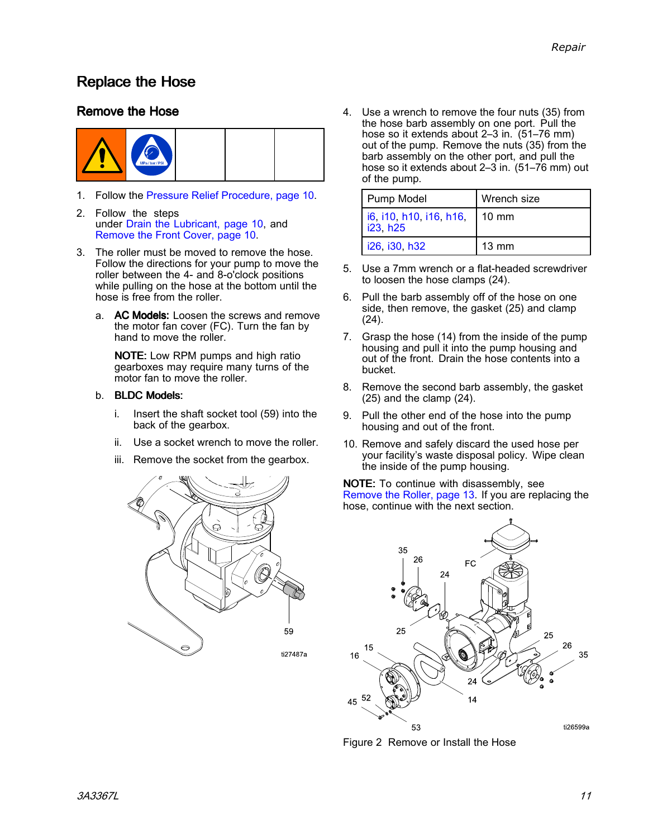## <span id="page-10-0"></span>Replace the Hose

### Remove the Hose



- 1. Follow the Pressure Relief [Procedure,](#page-9-0) page [10](#page-9-0).
- 2. Follow the steps under Drain the [Lubricant,](#page-9-0) page [10](#page-9-0), and [Remove](#page-9-0) the Front Cover, page [10](#page-9-0).
- 3. The roller must be moved to remove the hose. Follow the directions for your pump to move the roller between the 4- and 8-o'clock positions while pulling on the hose at the bottom until the hose is free from the roller.
	- a. AC Models: Loosen the screws and remove the motor fan cover (FC). Turn the fan by hand to move the roller.

NOTE: Low RPM pumps and high ratio gearboxes may require many turns of the motor fan to move the roller.

### b. BLDC Models:

- i. Insert the shaft socket tool (59) into the back of the gearbox.
- ii. Use <sup>a</sup> socket wrench to move the roller.
- iii. Remove the socket from the gearbox.



4. Use <sup>a</sup> wrench to remove the four nuts (35) from the hose barb assembly on one port. Pull the hose so it extends about 2–3 in. (51–76 mm) out of the pump. Remove the nuts (35) from the barb assembly on the other port, and pull the hose so it extends about 2–3 in. (51–76 mm) out of the pump.

| Pump Model                          | Wrench size     |
|-------------------------------------|-----------------|
| i6, i10, h10, i16, h16,<br>i23, h25 | $10 \text{ mm}$ |
| i26, i30, h32                       | $13 \text{ mm}$ |

- 5. Use <sup>a</sup> 7mm wrench or <sup>a</sup> flat-headed screwdriver to loosen the hose clamps (24).
- 6. Pull the barb assembly off of the hose on one side, then remove, the gasket (25) and clamp (24).
- 7. Grasp the hose (14) from the inside of the pump housing and pull it into the pump housing and out of the front. Drain the hose contents into <sup>a</sup> bucket.
- 8. Remove the second barb assembly, the gasket (25) and the clamp (24).
- 9. Pull the other end of the hose into the pump housing and out of the front.
- 10. Remove and safely discard the used hose per your facility's waste disposal policy. Wipe clean the inside of the pump housing.

NOTE: To continue with disassembly, see [Remove](#page-12-0) the Roller, page [13](#page-12-0). If you are replacing the hose, continue with the next section.



Figure <sup>2</sup> Remove or Install the Hose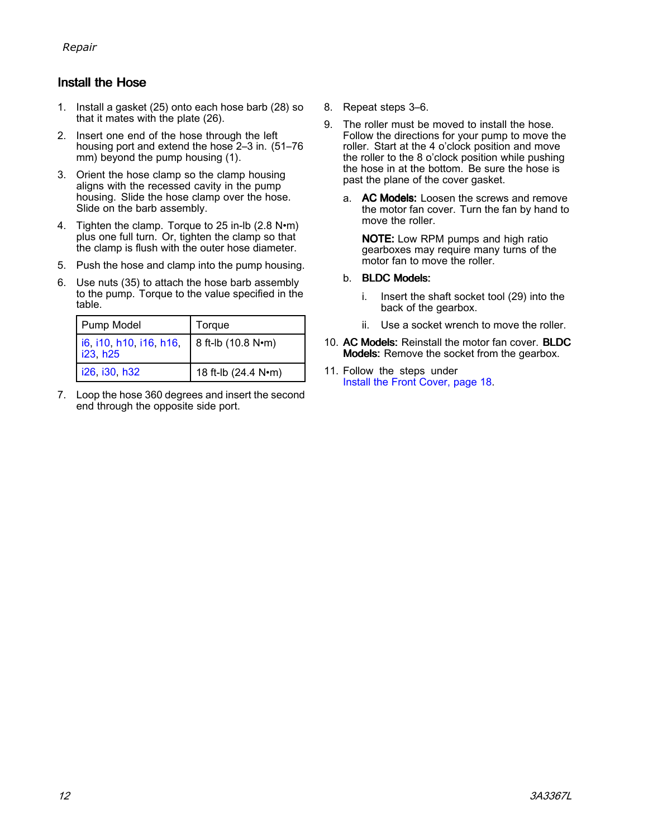### <span id="page-11-0"></span>Install the Hose

- 1. Install <sup>a</sup> gasket (25) onto each hose barb (28) so that it mates with the plate (26).
- 2. Insert one end of the hose through the left housing port and extend the hose 2–3 in. (51–76 mm) beyond the pump housing (1).
- 3. Orient the hose clamp so the clamp housing aligns with the recessed cavity in the pump housing. Slide the hose clamp over the hose. Slide on the barb assembly.
- 4. Tighten the clamp. Torque to <sup>25</sup> in-lb (2.8 N•m) plus one full turn. Or, tighten the clamp so that the clamp is flush with the outer hose diameter.
- 5. Push the hose and clamp into the pump housing.
- 6. Use nuts (35) to attach the hose barb assembly to the pump. Torque to the value specified in the table.

| Pump Model                          | Torque              |
|-------------------------------------|---------------------|
| i6, i10, h10, i16, h16,<br>i23, h25 | 8 ft-lb (10.8 N•m)  |
| i26, i30, h32                       | 18 ft-lb (24.4 N•m) |

7. Loop the hose <sup>360</sup> degrees and insert the second end through the opposite side port.

- 8. Repeat steps 3–6.
- 9. The roller must be moved to install the hose. Follow the directions for your pump to move the roller. Start at the <sup>4</sup> <sup>o</sup>'clock position and move the roller to the <sup>8</sup> <sup>o</sup>'clock position while pushing the hose in at the bottom. Be sure the hose is past the plane of the cover gasket.
	- a. AC Models: Loosen the screws and remove the motor fan cover. Turn the fan by hand to move the roller.

NOTE: Low RPM pumps and high ratio gearboxes may require many turns of the motor fan to move the roller.

### b. BLDC Models:

- i. Insert the shaft socket tool (29) into the back of the gearbox.
- ii. Use <sup>a</sup> socket wrench to move the roller.
- 10. AC Models: Reinstall the motor fan cover. BLDC Models: Remove the socket from the gearbox.
- 11. Follow the steps under Install the Front [Cover,](#page-16-0) page [18](#page-17-0).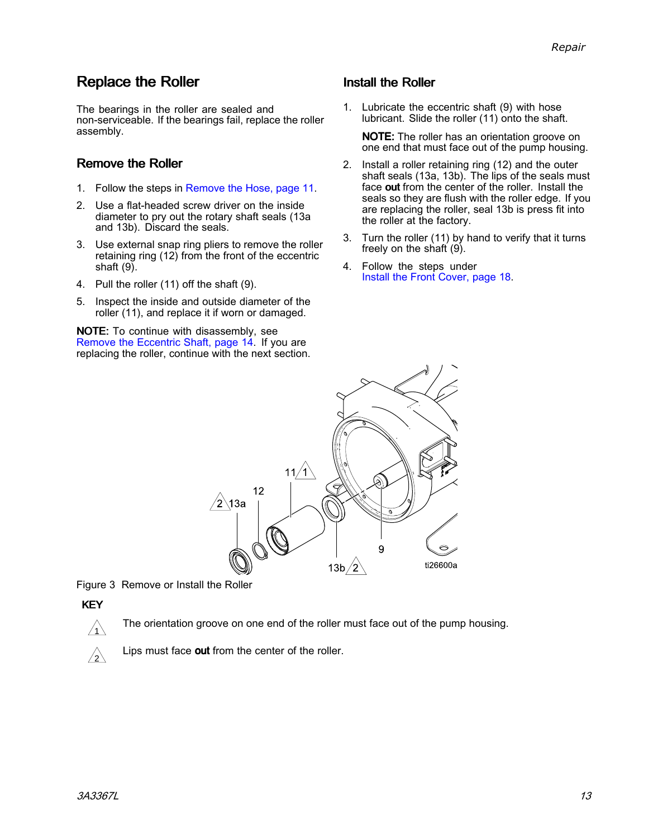## <span id="page-12-0"></span>**Replace the Roller**

The bearings in the roller are sealed and non-serviceable. If the bearings fail, replace the roller assembly.

### Remove the Roller

- 1. Follow the steps in [Remove](#page-10-0) the Hose, page [11](#page-10-0).
- 2. Use <sup>a</sup> flat-headed screw driver on the inside diameter to pry out the rotary shaft seals (13a and 13b). Discard the seals.
- 3. Use external snap ring pliers to remove the roller retaining ring  $(12)$  from the front of the eccentric shaft (9).
- 4. Pull the roller (11) off the shaft (9).
- 5. Inspect the inside and outside diameter of the roller (11), and replace it if worn or damaged.

NOTE: To continue with disassembly, see Remove the [Eccentric](#page-13-0) Shaft, page [14](#page-13-0). If you are replacing the roller, continue with the next section.

### Install the Roller

1. Lubricate the eccentric shaft (9) with hose lubricant. Slide the roller (11) onto the shaft.

NOTE: The roller has an orientation groove on one end that must face out of the pump housing.

- 2. Install <sup>a</sup> roller retaining ring (12) and the outer shaft seals (13a, 13b). The lips of the seals must face out from the center of the roller. Install the seals so they are flush with the roller edge. If you are replacing the roller, seal 13b is press fit into the roller at the factory.
- 3. Turn the roller (11) by hand to verify that it turns freely on the shaft (9).
- 4. Follow the steps under Install the Front [Cover,](#page-16-0) page [18](#page-17-0).



Figure <sup>3</sup> Remove or Install the Roller

### KEY

The orientation groove on one end of the roller must face out of the pump housing.



Lips must face out from the center of the roller.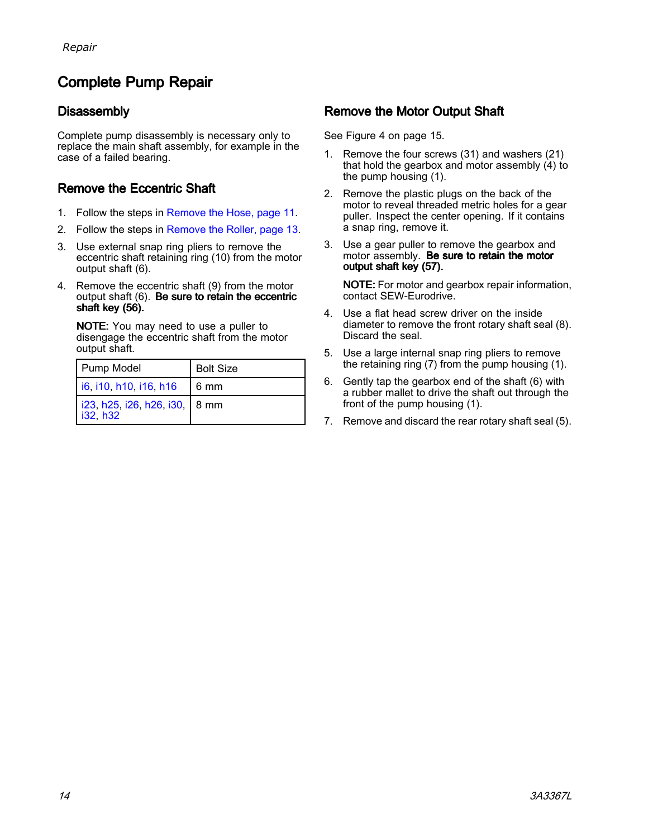## <span id="page-13-0"></span>**Complete Pump Repair**

### **Disassembly**

Complete pump disassembly is necessary only to replace the main shaft assembly, for example in the case of <sup>a</sup> failed bearing.

### Remove the Eccentric Shaft

- 1. Follow the steps in [Remove](#page-10-0) the Hose, page [11](#page-10-0).
- 2. Follow the steps in [Remove](#page-12-0) the Roller, page [13](#page-12-0).
- 3. Use external snap ring pliers to remove the eccentric shaft retaining ring (10) from the motor output shaft (6).
- 4. Remove the eccentric shaft (9) from the motor output shaft  $(6)$ . Be sure to retain the eccentric shaft key (56).

NOTE: You may need to use <sup>a</sup> puller to disengage the eccentric shaft from the motor output shaft.

| Pump Model                                  | <b>Bolt Size</b> |
|---------------------------------------------|------------------|
| $\mid$ i6, i10, h10, i16, h16               | $16 \text{ mm}$  |
| i23, h25, i26, h26, i30,   8 mm<br>i32, h32 |                  |

### Remove the Motor Output Shaft

See Figure <sup>4</sup> on page 15.

- 1. Remove the four screws (31) and washers (21) that hold the gearbox and motor assembly (4) to the pump housing (1).
- 2. Remove the plastic plugs on the back of the motor to reveal threaded metric holes for <sup>a</sup> gear puller. Inspect the center opening. If it contains <sup>a</sup> snap ring, remove it.
- 3. Use <sup>a</sup> gear puller to remove the gearbox and motor assembly. Be sure to retain the motor output shaft key (57).

NOTE: For motor and gearbox repair information, contact SEW-Eurodrive.

- 4. Use <sup>a</sup> flat head screw driver on the inside diameter to remove the front rotary shaft seal (8). Discard the seal.
- 5. Use <sup>a</sup> large internal snap ring pliers to remove the retaining ring (7) from the pump housing (1).
- 6. Gently tap the gearbox end of the shaft (6) with <sup>a</sup> rubber mallet to drive the shaft out through the front of the pump housing (1).
- 7. Remove and discard the rear rotary shaft seal (5).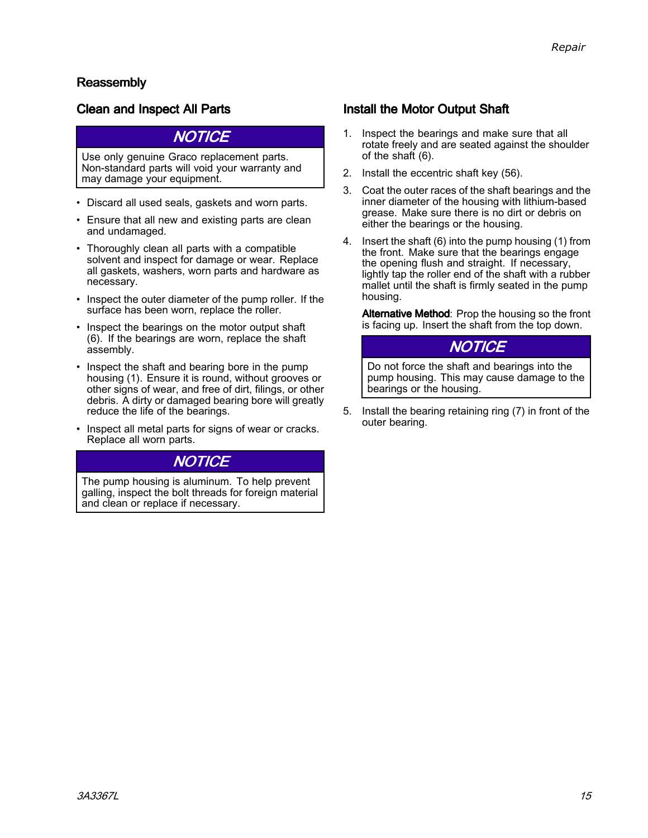### Reassembly

### Clean and Inspect All Parts

### **NOTICE**

Use only genuine Graco replacement parts. Non-standard parts will void your warranty and may damage your equipment.

- Discard all used seals, gaskets and worn parts.
- Ensure that all new and existing parts are clean and undamaged.
- Thoroughly clean all parts with <sup>a</sup> compatible solvent and inspect for damage or wear. Replace all gaskets, washers, worn parts and hardware as necessary.
- Inspect the outer diameter of the pump roller. If the<br>surface has been worn, replace the roller surface has been worn, replace the roller.
- Inspect the bearings on the motor output shaft<br>(6) If the bearings are worn, replace the shaft (6). If the bearings are worn, replace the shaft assembly.
- Inspect the shaft and bearing bore in the pump bousing  $(1)$ . Ensure it is round without grooves housing (1). Ensure it is round, without grooves or other signs of wear, and free of dirt, filings, or other debris. <sup>A</sup> dirty or damaged bearing bore will greatly reduce the life of the bearings.
- Inspect all metal parts for signs of wear or cracks. Replace all worn parts.

## **NOTICE**

The pump housing is aluminum. To help prevent galling, inspect the bolt threads for foreign material and clean or replace if necessary.

### Install the Motor Output Shaft

- 1. Inspect the bearings and make sure that all rotate freely and are seated against the shoulder of the shaft (6).
- 2. Install the eccentric shaft key (56).
- 3. Coat the outer races of the shaft bearings and the inner diameter of the housing with lithium-based grease. Make sure there is no dirt or debris on either the bearings or the housing.
- 4. Insert the shaft (6) into the pump housing (1) from the front. Make sure that the bearings engage the opening flush and straight. If necessary, lightly tap the roller end of the shaft with <sup>a</sup> rubber mallet until the shaft is firmly seated in the pump housing.

Alternative Method: Prop the housing so the front is facing up. Insert the shaft from the top down.

### **NOTICE**

Do not force the shaft and bearings into the pump housing. This may cause damage to the bearings or the housing.

5. Install the bearing retaining ring (7) in front of the outer bearing.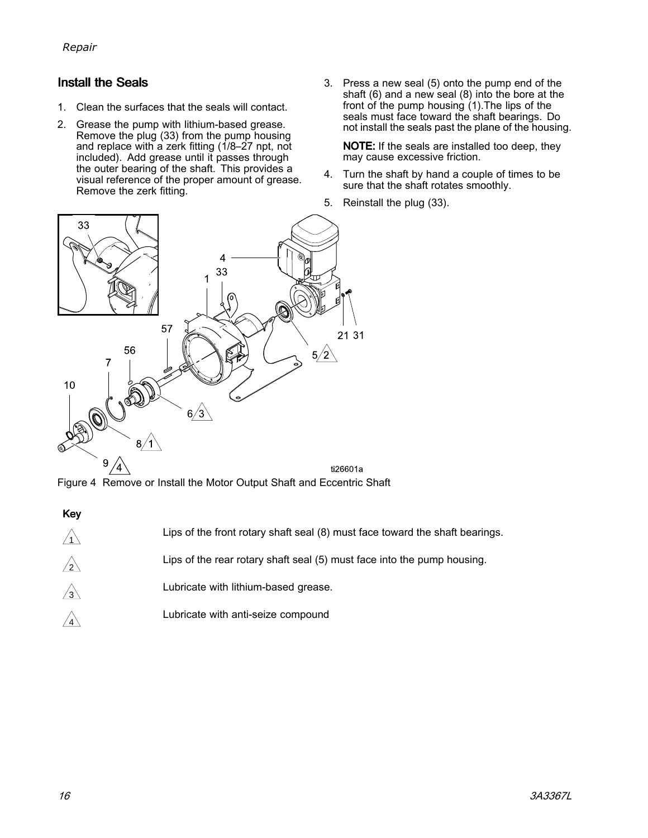*[Repair](#page-9-0)*

### **Install the Seals**

- 1. Clean the surfaces that the seals will contact.
- 2. Grease the pump with lithium-based grease. Remove the plug (33) from the pump housing<br>and replace with a zerk fitting (1/8, 27 ppt, poi and replace with <sup>a</sup> zerk fitting (1/8–27 npt, not included). Add grease until it passes through the outer bearing of the shaft. This provides a visual reference of the proper amount of grease. Remove the zerk fitting.
- 3. Press <sup>a</sup> new seal (5) onto the pump end of the shaft (6) and <sup>a</sup> new seal (8) into the bore at the front of the pump housing (1).The lips of the seals must face toward the shaft bearings. Do<br>not install the seals past the plane of the bousir not install the seals past the plane of the housing.

NOTE: If the seals are installed too deep, they may cause excessive friction.

- 4. Turn the shaft by hand <sup>a</sup> couple of times to be sure that the shaft rotates smoothly.
- 5. Reinstall the plug (33).



Figure <sup>4</sup> Remove or Install the Motor Output Shaft and Eccentric Shaft

| M.<br>۰.<br>۰. |
|----------------|
|                |

| $\sqrt{1}$ | Lips of the front rotary shaft seal (8) must face toward the shaft bearings. |
|------------|------------------------------------------------------------------------------|
| $\sqrt{2}$ | Lips of the rear rotary shaft seal (5) must face into the pump housing.      |
| $\sqrt{3}$ | Lubricate with lithium-based grease.                                         |
|            | Lubricate with anti-seize compound                                           |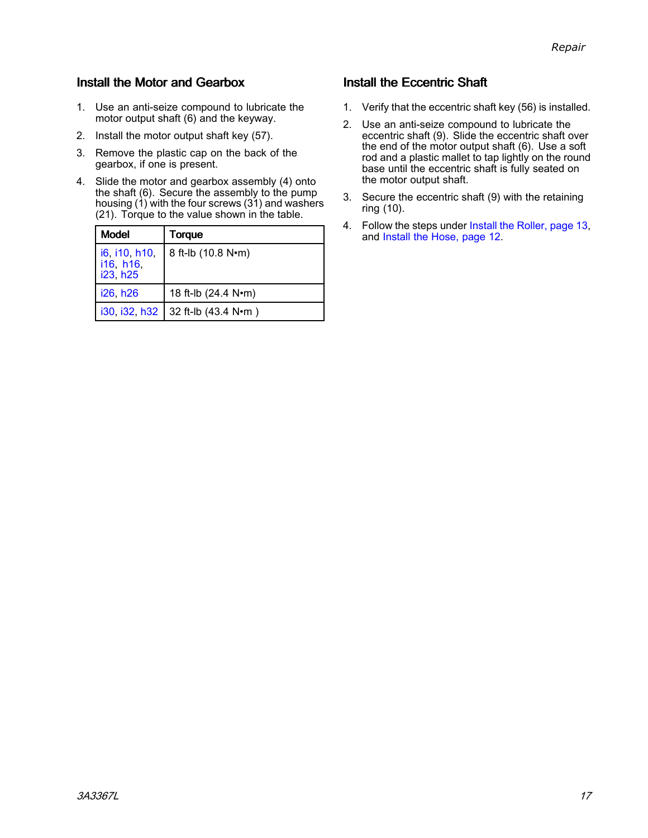### <span id="page-16-0"></span>Install the Motor and Gearbox

- 1. Use an anti-seize compound to lubricate the motor output shaft (6) and the keyway.
- 2. Install the motor output shaft key (57).
- 3. Remove the plastic cap on the back of the gearbox, if one is present.
- 4. Slide the motor and gearbox assembly (4) onto the shaft (6). Secure the assembly to the pump housing (1) with the four screws (31) and washers (21). Torque to the value shown in the table.

| <b>Model</b>                           | Torque                            |
|----------------------------------------|-----------------------------------|
| i6, i10, h10,<br>i16, h16,<br>i23, h25 | 8 ft-lb (10.8 N•m)                |
| i26, h26                               | 18 ft-lb (24.4 N•m)               |
|                                        | i30, i32, h32 32 ft-lb (43.4 N•m) |

### Install the Eccentric Shaft

- 1. Verify that the eccentric shaft key (56) is installed.
- 2. Use an anti-seize compound to lubricate the eccentric shaft (9). Slide the eccentric shaft over the end of the motor output shaft (6). Use <sup>a</sup> soft rod and a plastic mallet to tap lightly on the round base until the eccentric shaft is fully seated on the motor output shaft.
- 3. Secure the eccentric shaft (9) with the retaining ring (10).
- 4. Follow the steps under Install the [Roller,](#page-12-0) page [13](#page-12-0), and Install the [Hose,](#page-11-0) page [12](#page-11-0).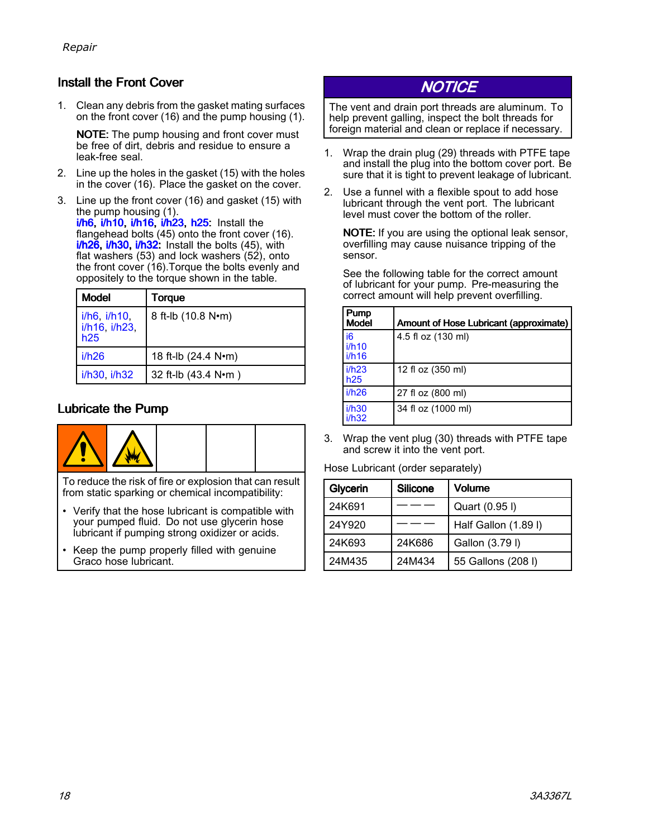### <span id="page-17-0"></span>Install the Front Cover

1. Clean any debris from the gasket mating surfaces on the front cover (16) and the pump housing (1).

NOTE: The pump housing and front cover must be free of dirt, debris and residue to ensure <sup>a</sup> leak-free seal.

- 2. Line up the holes in the gasket (15) with the holes in the cover (16). Place the gasket on the cover.
- 3. Line up the front cover (16) and gasket (15) with the pump housing (1).<br><mark>*ነ*ኩፍ ፤/ኩ10 ፤/ኩ1ፍ ፤/ኩ2</mark> <mark>i/h6, i/h10, i/h16, i/h23, h25:</mark> Install the<br>flangebead bolts (45) onto the front cove flangehead bolts (45) onto the front cover (16).<br>**i/b26, i/b30, i/b32;** Install the bolts (45), with i<mark>/h26, i/h30, i/h32:</mark> Install the bolts (45), with<br>flat washers (53) and lock washers (52), ont flat washers (53) and lock washers (52), onto the front cover (16). Torque the bolts evenly and oppositely to the torque shown in the table.

| <b>Model</b>                               | Torque              |
|--------------------------------------------|---------------------|
| $i/h6$ , $i/h10$ ,<br>i/h16, i/h23,<br>h25 | 8 ft-lb (10.8 N•m)  |
| i/h26                                      | 18 ft-lb (24.4 N•m) |
| i/h30, i/h32                               | 32 ft-lb (43.4 N•m) |

### Lubricate the Pump



To reduce the risk of fire or explosion that can result from static sparking or chemical incompatibility:

- Verify that the hose lubricant is compatible with your pumped fluid. Do not use glycerin hose lubricant if pumping strong oxidizer or acids.
- • Keep the pump properly filled with genuine Graco hose lubricant.

## **NOTICE**

The vent and drain port threads are aluminum. To help prevent galling, inspect the bolt threads for foreign material and clean or replace if necessary.

- 1. Wrap the drain plug (29) threads with PTFE tape and install the plug into the bottom cover port. Be sure that it is tight to prevent leakage of lubricant.
- 2. Use <sup>a</sup> funnel with <sup>a</sup> flexible spout to add hose lubricant through the vent port. The lubricant level must cover the bottom of the roller.

NOTE: If you are using the optional leak sensor, overfilling may cause nuisance tripping of the sensor.

See the following table for the correct amount of lubricant for your pump. Pre-measuring the correct amount will help prevent overfilling.

| Pump<br><b>Model</b>             | Amount of Hose Lubricant (approximate) |
|----------------------------------|----------------------------------------|
| i <sub>6</sub><br>i/h10<br>i/h16 | 4.5 fl oz (130 ml)                     |
| i/h23<br>h25                     | 12 fl oz (350 ml)                      |
| i/h26                            | 27 fl oz (800 ml)                      |
| i/h30<br>i/h32                   | 34 fl oz (1000 ml)                     |

3. Wrap the vent plug (30) threads with PTFE tape and screw it into the vent port.

Hose Lubricant (order separately)

| Glycerin | <b>Silicone</b> | <b>Volume</b>        |
|----------|-----------------|----------------------|
| 24K691   |                 | Quart (0.95 l)       |
| 24Y920   |                 | Half Gallon (1.89 l) |
| 24K693   | 24K686          | Gallon (3.79 l)      |
| 24M435   | 24M434          | 55 Gallons (208 l)   |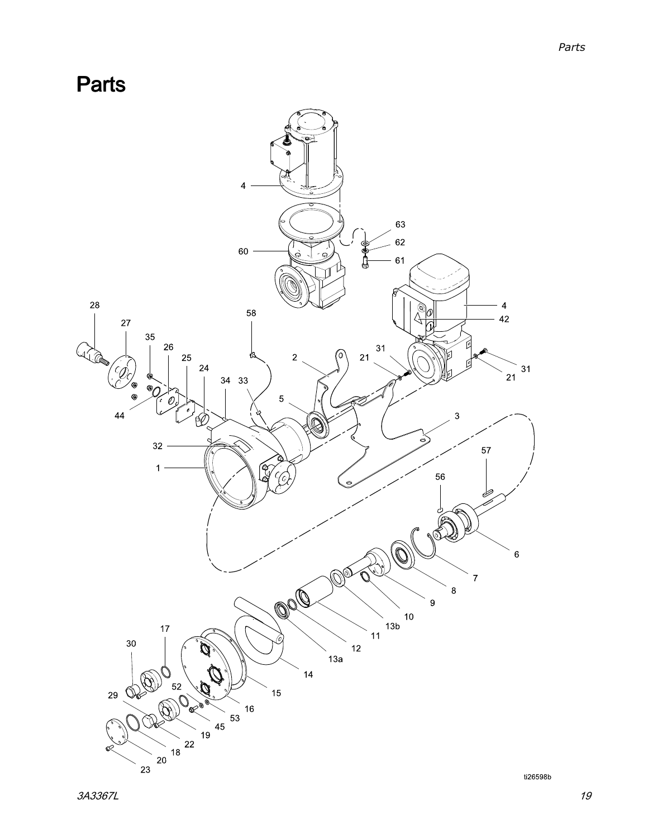<span id="page-18-0"></span>Parts

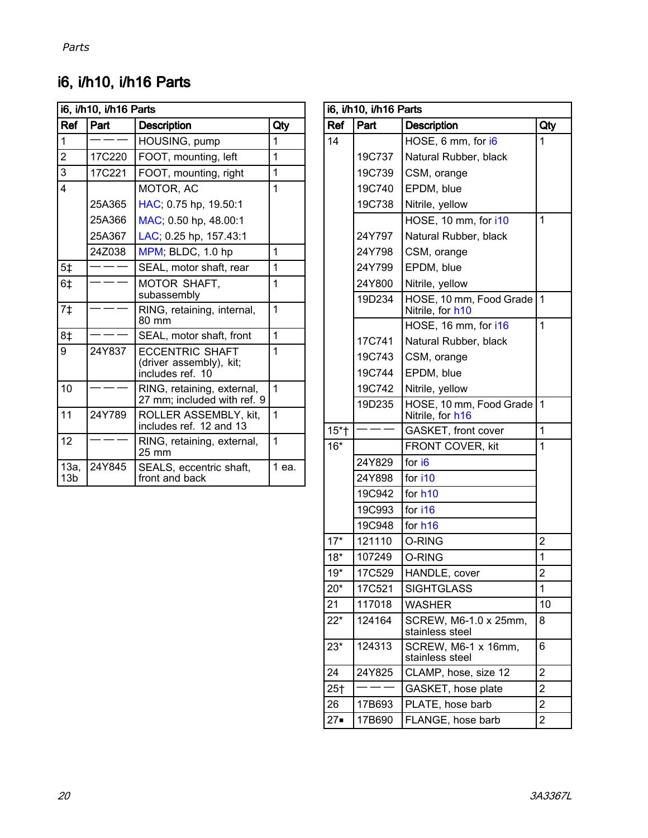## i6, i/h10, i/h16 Parts

| i6, i/h10, i/h16 Parts  |        |                                                                       |       |
|-------------------------|--------|-----------------------------------------------------------------------|-------|
| Ref                     | Part   | <b>Description</b>                                                    | Qty   |
| 1                       |        | HOUSING, pump                                                         | 1     |
| $\overline{2}$          | 17C220 | FOOT, mounting, left                                                  | 1     |
| 3                       | 17C221 | FOOT, mounting, right                                                 | 1     |
| $\overline{\mathbf{4}}$ |        | MOTOR, AC                                                             | 1     |
|                         | 25A365 | HAC; 0.75 hp, 19.50:1                                                 |       |
|                         | 25A366 | MAC; 0.50 hp, 48.00:1                                                 |       |
|                         | 25A367 | LAC; 0.25 hp, 157.43:1                                                |       |
|                         | 247038 | MPM; BLDC, 1.0 hp                                                     | 1     |
| 5 <sub>‡</sub>          |        | SEAL, motor shaft, rear                                               | 1     |
| 6 <sub>‡</sub>          |        | MOTOR SHAFT,<br>subassembly                                           | 1     |
| 7 <sup>†</sup>          |        | RING, retaining, internal,<br>80 mm                                   | 1     |
| 8‡                      |        | SEAL, motor shaft, front                                              | 1     |
| 9                       | 24Y837 | <b>FCCENTRIC SHAFT</b><br>(driver assembly), kit;<br>includes ref. 10 | 1     |
| 10                      |        | RING, retaining, external,<br>27 mm; included with ref. 9             | 1     |
| 11                      | 24Y789 | ROLLER ASSEMBLY. kit.<br>includes ref. 12 and 13                      | 1     |
| 12                      |        | RING, retaining, external,<br>$25 \text{ mm}$                         | 1     |
| 13а,<br>13 <sub>b</sub> | 24Y845 | SEALS, eccentric shaft,<br>front and back                             | 1 еа. |

| Ref<br>Part<br><b>Description</b><br>Qty<br>1<br>14<br>HOSE, 6 mm, for i6<br>19C737<br>Natural Rubber, black<br>19C739<br>CSM, orange<br>19C740<br>EPDM, blue<br>19C738<br>Nitrile, yellow<br>$\mathbf 1$<br>HOSE, 10 mm, for i10<br>24Y797<br>Natural Rubber, black<br>24Y798<br>CSM, orange<br>24Y799<br>EPDM, blue<br>24Y800<br>Nitrile, yellow<br>1<br>19D234<br>HOSE, 10 mm, Food Grade<br>Nitrile, for h10<br>$\overline{1}$<br>HOSE, 16 mm, for i16<br>17C741<br>Natural Rubber, black<br>19C743<br>CSM, orange<br>19C744<br>EPDM, blue<br>19C742<br>Nitrile, yellow<br>19D235<br>HOSE, 10 mm, Food Grade<br>$\mathbf 1$<br>Nitrile, for h16<br>GASKET, front cover<br>1<br>$15*$ †<br>$16*$<br>1<br>FRONT COVER, kit<br>for i6<br>24Y829<br>24Y898<br>for i10<br>19C942<br>for h <sub>10</sub><br>19C993<br>for i16<br>19C948<br>for h <sub>16</sub><br>$17*$<br>$\overline{2}$<br>121110<br>O-RING<br>$18*$<br>107249<br>O-RING<br>1<br>$\overline{c}$<br>HANDLE, cover<br>17C529<br>19*<br>$20*$<br>17C521<br><b>SIGHTGLASS</b><br>1<br>21<br>117018<br><b>WASHER</b><br>10<br>$22*$<br>SCREW, M6-1.0 x 25mm,<br>124164<br>8<br>stainless steel<br>SCREW, M6-1 x 16mm,<br>$23*$<br>124313<br>6<br>stainless steel<br>$\overline{2}$<br>24<br>24Y825<br>CLAMP, hose, size 12<br>$\overline{2}$<br>25 <sub>†</sub><br>GASKET, hose plate<br>PLATE, hose barb<br>$\overline{c}$<br>26<br>17B693<br>$27 -$<br>2<br>17B690<br>FLANGE, hose barb | i6, i/h10, i/h16 Parts |  |  |  |
|------------------------------------------------------------------------------------------------------------------------------------------------------------------------------------------------------------------------------------------------------------------------------------------------------------------------------------------------------------------------------------------------------------------------------------------------------------------------------------------------------------------------------------------------------------------------------------------------------------------------------------------------------------------------------------------------------------------------------------------------------------------------------------------------------------------------------------------------------------------------------------------------------------------------------------------------------------------------------------------------------------------------------------------------------------------------------------------------------------------------------------------------------------------------------------------------------------------------------------------------------------------------------------------------------------------------------------------------------------------------------------------------------------------------------------------------------|------------------------|--|--|--|
|                                                                                                                                                                                                                                                                                                                                                                                                                                                                                                                                                                                                                                                                                                                                                                                                                                                                                                                                                                                                                                                                                                                                                                                                                                                                                                                                                                                                                                                      |                        |  |  |  |
|                                                                                                                                                                                                                                                                                                                                                                                                                                                                                                                                                                                                                                                                                                                                                                                                                                                                                                                                                                                                                                                                                                                                                                                                                                                                                                                                                                                                                                                      |                        |  |  |  |
|                                                                                                                                                                                                                                                                                                                                                                                                                                                                                                                                                                                                                                                                                                                                                                                                                                                                                                                                                                                                                                                                                                                                                                                                                                                                                                                                                                                                                                                      |                        |  |  |  |
|                                                                                                                                                                                                                                                                                                                                                                                                                                                                                                                                                                                                                                                                                                                                                                                                                                                                                                                                                                                                                                                                                                                                                                                                                                                                                                                                                                                                                                                      |                        |  |  |  |
|                                                                                                                                                                                                                                                                                                                                                                                                                                                                                                                                                                                                                                                                                                                                                                                                                                                                                                                                                                                                                                                                                                                                                                                                                                                                                                                                                                                                                                                      |                        |  |  |  |
|                                                                                                                                                                                                                                                                                                                                                                                                                                                                                                                                                                                                                                                                                                                                                                                                                                                                                                                                                                                                                                                                                                                                                                                                                                                                                                                                                                                                                                                      |                        |  |  |  |
|                                                                                                                                                                                                                                                                                                                                                                                                                                                                                                                                                                                                                                                                                                                                                                                                                                                                                                                                                                                                                                                                                                                                                                                                                                                                                                                                                                                                                                                      |                        |  |  |  |
|                                                                                                                                                                                                                                                                                                                                                                                                                                                                                                                                                                                                                                                                                                                                                                                                                                                                                                                                                                                                                                                                                                                                                                                                                                                                                                                                                                                                                                                      |                        |  |  |  |
|                                                                                                                                                                                                                                                                                                                                                                                                                                                                                                                                                                                                                                                                                                                                                                                                                                                                                                                                                                                                                                                                                                                                                                                                                                                                                                                                                                                                                                                      |                        |  |  |  |
|                                                                                                                                                                                                                                                                                                                                                                                                                                                                                                                                                                                                                                                                                                                                                                                                                                                                                                                                                                                                                                                                                                                                                                                                                                                                                                                                                                                                                                                      |                        |  |  |  |
|                                                                                                                                                                                                                                                                                                                                                                                                                                                                                                                                                                                                                                                                                                                                                                                                                                                                                                                                                                                                                                                                                                                                                                                                                                                                                                                                                                                                                                                      |                        |  |  |  |
|                                                                                                                                                                                                                                                                                                                                                                                                                                                                                                                                                                                                                                                                                                                                                                                                                                                                                                                                                                                                                                                                                                                                                                                                                                                                                                                                                                                                                                                      |                        |  |  |  |
|                                                                                                                                                                                                                                                                                                                                                                                                                                                                                                                                                                                                                                                                                                                                                                                                                                                                                                                                                                                                                                                                                                                                                                                                                                                                                                                                                                                                                                                      |                        |  |  |  |
|                                                                                                                                                                                                                                                                                                                                                                                                                                                                                                                                                                                                                                                                                                                                                                                                                                                                                                                                                                                                                                                                                                                                                                                                                                                                                                                                                                                                                                                      |                        |  |  |  |
|                                                                                                                                                                                                                                                                                                                                                                                                                                                                                                                                                                                                                                                                                                                                                                                                                                                                                                                                                                                                                                                                                                                                                                                                                                                                                                                                                                                                                                                      |                        |  |  |  |
|                                                                                                                                                                                                                                                                                                                                                                                                                                                                                                                                                                                                                                                                                                                                                                                                                                                                                                                                                                                                                                                                                                                                                                                                                                                                                                                                                                                                                                                      |                        |  |  |  |
|                                                                                                                                                                                                                                                                                                                                                                                                                                                                                                                                                                                                                                                                                                                                                                                                                                                                                                                                                                                                                                                                                                                                                                                                                                                                                                                                                                                                                                                      |                        |  |  |  |
|                                                                                                                                                                                                                                                                                                                                                                                                                                                                                                                                                                                                                                                                                                                                                                                                                                                                                                                                                                                                                                                                                                                                                                                                                                                                                                                                                                                                                                                      |                        |  |  |  |
|                                                                                                                                                                                                                                                                                                                                                                                                                                                                                                                                                                                                                                                                                                                                                                                                                                                                                                                                                                                                                                                                                                                                                                                                                                                                                                                                                                                                                                                      |                        |  |  |  |
|                                                                                                                                                                                                                                                                                                                                                                                                                                                                                                                                                                                                                                                                                                                                                                                                                                                                                                                                                                                                                                                                                                                                                                                                                                                                                                                                                                                                                                                      |                        |  |  |  |
|                                                                                                                                                                                                                                                                                                                                                                                                                                                                                                                                                                                                                                                                                                                                                                                                                                                                                                                                                                                                                                                                                                                                                                                                                                                                                                                                                                                                                                                      |                        |  |  |  |
|                                                                                                                                                                                                                                                                                                                                                                                                                                                                                                                                                                                                                                                                                                                                                                                                                                                                                                                                                                                                                                                                                                                                                                                                                                                                                                                                                                                                                                                      |                        |  |  |  |
|                                                                                                                                                                                                                                                                                                                                                                                                                                                                                                                                                                                                                                                                                                                                                                                                                                                                                                                                                                                                                                                                                                                                                                                                                                                                                                                                                                                                                                                      |                        |  |  |  |
|                                                                                                                                                                                                                                                                                                                                                                                                                                                                                                                                                                                                                                                                                                                                                                                                                                                                                                                                                                                                                                                                                                                                                                                                                                                                                                                                                                                                                                                      |                        |  |  |  |
|                                                                                                                                                                                                                                                                                                                                                                                                                                                                                                                                                                                                                                                                                                                                                                                                                                                                                                                                                                                                                                                                                                                                                                                                                                                                                                                                                                                                                                                      |                        |  |  |  |
|                                                                                                                                                                                                                                                                                                                                                                                                                                                                                                                                                                                                                                                                                                                                                                                                                                                                                                                                                                                                                                                                                                                                                                                                                                                                                                                                                                                                                                                      |                        |  |  |  |
|                                                                                                                                                                                                                                                                                                                                                                                                                                                                                                                                                                                                                                                                                                                                                                                                                                                                                                                                                                                                                                                                                                                                                                                                                                                                                                                                                                                                                                                      |                        |  |  |  |
|                                                                                                                                                                                                                                                                                                                                                                                                                                                                                                                                                                                                                                                                                                                                                                                                                                                                                                                                                                                                                                                                                                                                                                                                                                                                                                                                                                                                                                                      |                        |  |  |  |
|                                                                                                                                                                                                                                                                                                                                                                                                                                                                                                                                                                                                                                                                                                                                                                                                                                                                                                                                                                                                                                                                                                                                                                                                                                                                                                                                                                                                                                                      |                        |  |  |  |
|                                                                                                                                                                                                                                                                                                                                                                                                                                                                                                                                                                                                                                                                                                                                                                                                                                                                                                                                                                                                                                                                                                                                                                                                                                                                                                                                                                                                                                                      |                        |  |  |  |
|                                                                                                                                                                                                                                                                                                                                                                                                                                                                                                                                                                                                                                                                                                                                                                                                                                                                                                                                                                                                                                                                                                                                                                                                                                                                                                                                                                                                                                                      |                        |  |  |  |
|                                                                                                                                                                                                                                                                                                                                                                                                                                                                                                                                                                                                                                                                                                                                                                                                                                                                                                                                                                                                                                                                                                                                                                                                                                                                                                                                                                                                                                                      |                        |  |  |  |
|                                                                                                                                                                                                                                                                                                                                                                                                                                                                                                                                                                                                                                                                                                                                                                                                                                                                                                                                                                                                                                                                                                                                                                                                                                                                                                                                                                                                                                                      |                        |  |  |  |
|                                                                                                                                                                                                                                                                                                                                                                                                                                                                                                                                                                                                                                                                                                                                                                                                                                                                                                                                                                                                                                                                                                                                                                                                                                                                                                                                                                                                                                                      |                        |  |  |  |
|                                                                                                                                                                                                                                                                                                                                                                                                                                                                                                                                                                                                                                                                                                                                                                                                                                                                                                                                                                                                                                                                                                                                                                                                                                                                                                                                                                                                                                                      |                        |  |  |  |
|                                                                                                                                                                                                                                                                                                                                                                                                                                                                                                                                                                                                                                                                                                                                                                                                                                                                                                                                                                                                                                                                                                                                                                                                                                                                                                                                                                                                                                                      |                        |  |  |  |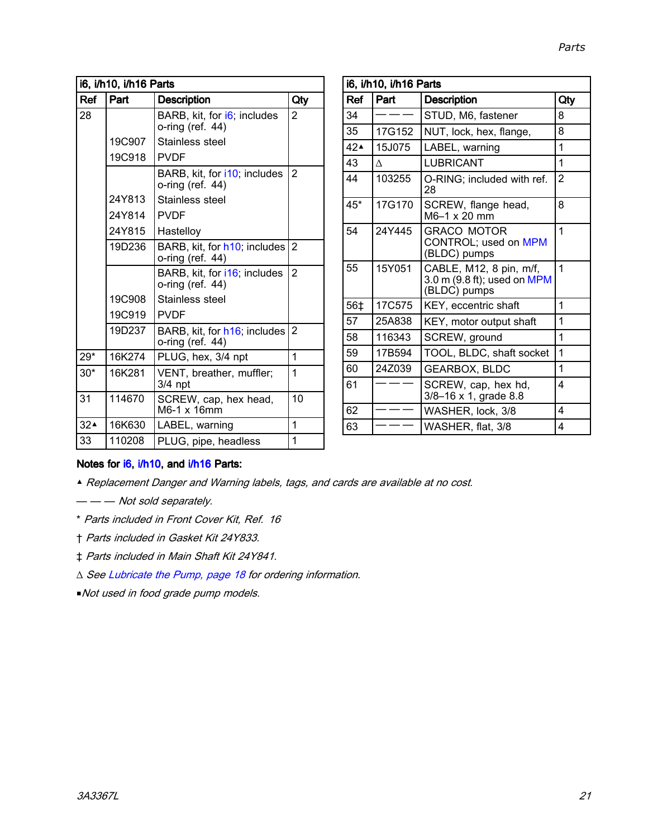| i6, i/h10, i/h16 Parts |        |                                                  |                |
|------------------------|--------|--------------------------------------------------|----------------|
| Ref                    | Part   | <b>Description</b>                               | Qty            |
| 28                     |        | BARB, kit, for i6; includes<br>o-ring (ref. 44)  | 2              |
|                        | 19C907 | Stainless steel                                  |                |
|                        | 19C918 | <b>PVDF</b>                                      |                |
|                        |        | BARB, kit, for i10; includes<br>o-ring (ref. 44) | $\overline{2}$ |
|                        | 24Y813 | Stainless steel                                  |                |
|                        | 24Y814 | <b>PVDF</b>                                      |                |
|                        | 24Y815 | Hastelloy                                        |                |
|                        | 19D236 | BARB, kit, for h10; includes<br>o-ring (ref. 44) | 2              |
|                        |        | BARB, kit, for i16; includes<br>o-ring (ref. 44) | $\overline{2}$ |
|                        | 19C908 | Stainless steel                                  |                |
|                        | 19C919 | <b>PVDF</b>                                      |                |
|                        | 19D237 | BARB, kit, for h16; includes<br>o-ring (ref. 44) | $\overline{2}$ |
| $29*$                  | 16K274 | PLUG, hex, 3/4 npt                               | 1              |
| $30*$                  | 16K281 | VENT, breather, muffler;<br>$3/4$ npt            | 1              |
| 31                     | 114670 | SCREW, cap, hex head,<br>M6-1 x 16mm             | 10             |
| 32 <sub>4</sub>        | 16K630 | LABEL, warning                                   | 1              |
| 33                     | 110208 | PLUG, pipe, headless                             | 1              |

| i6, i/h10, i/h16 Parts |          |                                                                        |     |
|------------------------|----------|------------------------------------------------------------------------|-----|
| Ref                    | Part     | <b>Description</b>                                                     | Qty |
| 34                     |          | STUD, M6, fastener                                                     | 8   |
| 35                     | 17G152   | NUT, lock, hex, flange,                                                | 8   |
| 42 <sub>A</sub>        | 15J075   | LABEL, warning                                                         | 1   |
| 43                     | $\wedge$ | LUBRICANT                                                              | 1   |
| 44                     | 103255   | O-RING; included with ref.<br>28                                       | 2   |
| $45*$                  | 17G170   | SCREW, flange head,<br>M6-1 x 20 mm                                    | 8   |
| 54                     | 24Y445   | <b>GRACO MOTOR</b><br>CONTROL; used on MPM<br>(BLDC) pumps             | 1   |
| 55                     | 15Y051   | CABLE, M12, 8 pin, m/f,<br>3.0 m (9.8 ft); used on MPM<br>(BLDC) pumps | 1   |
| 56‡                    | 17C575   | KEY, eccentric shaft                                                   | 1   |
| 57                     | 25A838   | KEY, motor output shaft                                                | 1   |
| 58                     | 116343   | SCREW, ground                                                          | 1   |
| 59                     | 17B594   | TOOL, BLDC, shaft socket                                               | 1   |
| 60                     | 24Z039   | <b>GEARBOX, BLDC</b>                                                   | 1   |
| 61                     |          | SCREW, cap, hex hd,<br>3/8-16 x 1, grade 8.8                           | 4   |
| 62                     |          | WASHER, lock, 3/8                                                      | 4   |
| 63                     |          | WASHER, flat, 3/8                                                      | 4   |

### Notes for i6, i/h10, and i/h16 Parts:

- ▲ Replacement Danger and Warning labels, tags, and cards are available at no cost.
- — Not sold separately.
- \* Parts included in Front Cover Kit, Ref. <sup>16</sup>
- † Parts included in Gasket Kit 24Y833.
- ‡ Parts included in Main Shaft Kit 24Y841.
- <sup>∆</sup> See [Lubricate](#page-17-0) the Pump, page [18](#page-17-0) for ordering information.
- ■Not used in food grade pump models.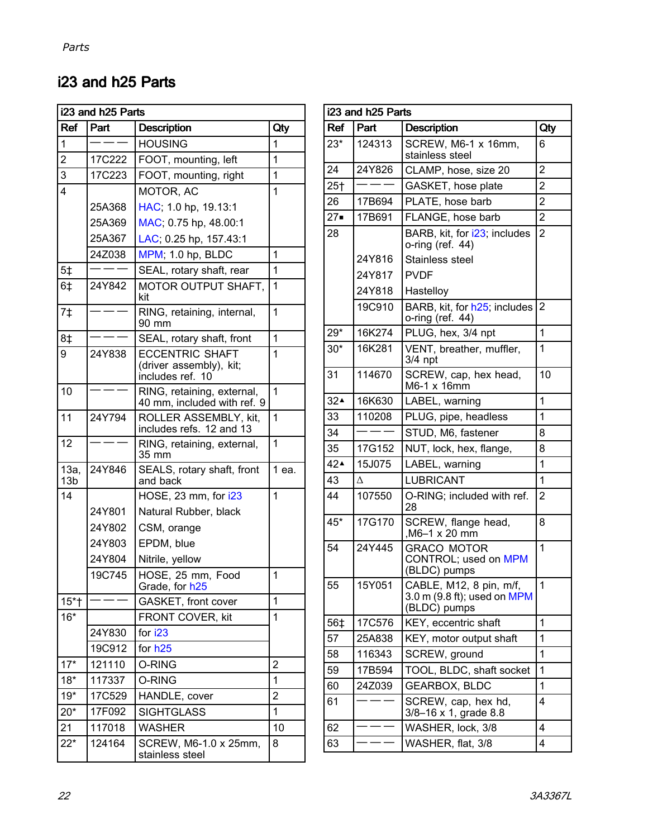## i23 and h25 Parts

| i23 and h25 Parts       |        |                                                                       |                |  |  |
|-------------------------|--------|-----------------------------------------------------------------------|----------------|--|--|
| Ref                     | Part   | <b>Description</b>                                                    | Qty            |  |  |
| $\overline{1}$          |        | <b>HOUSING</b>                                                        | 1              |  |  |
| $\overline{2}$          | 17C222 | FOOT, mounting, left                                                  | 1              |  |  |
| 3                       | 17C223 | FOOT, mounting, right                                                 | 1              |  |  |
| 4                       |        | MOTOR, AC                                                             | 1              |  |  |
|                         | 25A368 | HAC; 1.0 hp, 19.13:1                                                  |                |  |  |
|                         | 25A369 | MAC; 0.75 hp, 48.00:1                                                 |                |  |  |
|                         | 25A367 | LAC; 0.25 hp, 157.43:1                                                |                |  |  |
|                         | 24Z038 | MPM; 1.0 hp, BLDC                                                     | 1              |  |  |
| 5 <sup>†</sup>          |        | SEAL, rotary shaft, rear                                              | 1              |  |  |
| 6‡                      | 24Y842 | MOTOR OUTPUT SHAFT,<br>kit                                            | 1              |  |  |
| $7+$                    |        | RING, retaining, internal,<br>90 mm                                   | 1              |  |  |
| 8‡                      |        | SEAL, rotary shaft, front                                             | 1              |  |  |
| 9                       | 24Y838 | <b>ECCENTRIC SHAFT</b><br>(driver assembly), kit;<br>includes ref. 10 | 1              |  |  |
| 10                      |        | RING, retaining, external,<br>40 mm, included with ref. 9             | 1              |  |  |
| 11                      | 24Y794 | ROLLER ASSEMBLY, kit,<br>includes refs. 12 and 13                     | 1              |  |  |
| 12                      |        | RING, retaining, external,<br>35 mm                                   | 1              |  |  |
| 13a,<br>13 <sub>b</sub> | 24Y846 | SEALS, rotary shaft, front<br>and back                                | 1 ea.          |  |  |
| 14                      |        | HOSE, 23 mm, for i23                                                  | 1              |  |  |
|                         | 24Y801 | Natural Rubber, black                                                 |                |  |  |
| 24Y802<br>CSM, orange   |        |                                                                       |                |  |  |
|                         | 24Y803 | EPDM, blue                                                            |                |  |  |
|                         | 24Y804 | Nitrile, yellow                                                       |                |  |  |
|                         | 19C745 | HOSE, 25 mm, Food<br>Grade, for h25                                   | 1              |  |  |
| $15*$ †                 |        | GASKET, front cover                                                   | 1              |  |  |
| $16*$                   |        | FRONT COVER, kit                                                      | 1              |  |  |
|                         | 24Y830 | for i23                                                               |                |  |  |
|                         | 19C912 | for $h25$                                                             |                |  |  |
| $17*$                   | 121110 | O-RING                                                                | $\overline{2}$ |  |  |
| $18*$                   | 117337 | O-RING                                                                | 1              |  |  |
| $19*$                   | 17C529 | HANDLE, cover                                                         | $\overline{2}$ |  |  |
| $20*$                   | 17F092 | <b>SIGHTGLASS</b>                                                     | 1              |  |  |
| 21                      | 117018 | 10<br>WASHER                                                          |                |  |  |
| $22^*$                  | 124164 | SCREW, M6-1.0 x 25mm,<br>8<br>stainless steel                         |                |  |  |

| Ref<br>Part<br><b>Description</b><br>Qty<br>$23*$<br>124313<br>SCREW, M6-1 x 16mm,<br>6<br>stainless steel<br>$\overline{2}$<br>24<br>CLAMP, hose, size 20<br>24Y826<br>$\overline{2}$<br>25 <sub>†</sub><br>GASKET, hose plate<br>$\overline{2}$<br>PLATE, hose barb<br>26<br>17B694<br>$27 -$<br>$\overline{2}$<br>17B691<br>FLANGE, hose barb<br>28<br>$\overline{2}$<br>BARB, kit, for i23; includes<br>o-ring (ref. 44)<br>24Y816<br>Stainless steel<br>24Y817<br><b>PVDF</b><br>24Y818<br>Hastelloy<br>19C910<br>BARB, kit, for h25; includes<br>$\overline{2}$<br>o-ring (ref. 44)<br>1<br>29*<br>16K274<br>PLUG, hex, 3/4 npt<br>VENT, breather, muffler,<br>16K281<br>1<br>$30*$<br>$3/4$ npt<br>31<br>114670<br>SCREW, cap, hex head,<br>10<br>M6-1 x 16mm<br>$\overline{1}$<br>32 <sup>2</sup><br>16K630<br>LABEL, warning<br>110208<br>33<br>PLUG, pipe, headless<br>1<br>34<br>STUD, M6, fastener<br>8<br>35<br>17G152<br>NUT, lock, hex, flange,<br>8<br>42 <sub>4</sub><br>1<br>15J075<br>LABEL, warning<br>43<br>1<br>LUBRICANT<br>Δ<br>44<br>107550<br>O-RING; included with ref.<br>2<br>28<br>45*<br>17G170<br>SCREW, flange head,<br>8<br>,M6-1 x 20 mm<br>24Y445<br><b>GRACO MOTOR</b><br>1<br>54<br>CONTROL; used on MPM<br>(BLDC) pumps<br>55<br>15Y051<br>CABLE, M12, 8 pin, m/f,<br>1<br>3.0 m (9.8 ft); used on MPM<br>(BLDC) pumps<br>1<br>17C576<br>KEY, eccentric shaft<br>56‡<br>57<br>25A838<br>KEY, motor output shaft<br>1<br>1<br>58<br>116343<br>SCREW, ground<br>17B594<br>TOOL, BLDC, shaft socket<br>59<br>1<br>1 | i23 and h25 Parts |        |               |  |
|---------------------------------------------------------------------------------------------------------------------------------------------------------------------------------------------------------------------------------------------------------------------------------------------------------------------------------------------------------------------------------------------------------------------------------------------------------------------------------------------------------------------------------------------------------------------------------------------------------------------------------------------------------------------------------------------------------------------------------------------------------------------------------------------------------------------------------------------------------------------------------------------------------------------------------------------------------------------------------------------------------------------------------------------------------------------------------------------------------------------------------------------------------------------------------------------------------------------------------------------------------------------------------------------------------------------------------------------------------------------------------------------------------------------------------------------------------------------------------------------------------------------------------------------------------|-------------------|--------|---------------|--|
|                                                                                                                                                                                                                                                                                                                                                                                                                                                                                                                                                                                                                                                                                                                                                                                                                                                                                                                                                                                                                                                                                                                                                                                                                                                                                                                                                                                                                                                                                                                                                         |                   |        |               |  |
|                                                                                                                                                                                                                                                                                                                                                                                                                                                                                                                                                                                                                                                                                                                                                                                                                                                                                                                                                                                                                                                                                                                                                                                                                                                                                                                                                                                                                                                                                                                                                         |                   |        |               |  |
|                                                                                                                                                                                                                                                                                                                                                                                                                                                                                                                                                                                                                                                                                                                                                                                                                                                                                                                                                                                                                                                                                                                                                                                                                                                                                                                                                                                                                                                                                                                                                         |                   |        |               |  |
|                                                                                                                                                                                                                                                                                                                                                                                                                                                                                                                                                                                                                                                                                                                                                                                                                                                                                                                                                                                                                                                                                                                                                                                                                                                                                                                                                                                                                                                                                                                                                         |                   |        |               |  |
|                                                                                                                                                                                                                                                                                                                                                                                                                                                                                                                                                                                                                                                                                                                                                                                                                                                                                                                                                                                                                                                                                                                                                                                                                                                                                                                                                                                                                                                                                                                                                         |                   |        |               |  |
|                                                                                                                                                                                                                                                                                                                                                                                                                                                                                                                                                                                                                                                                                                                                                                                                                                                                                                                                                                                                                                                                                                                                                                                                                                                                                                                                                                                                                                                                                                                                                         |                   |        |               |  |
|                                                                                                                                                                                                                                                                                                                                                                                                                                                                                                                                                                                                                                                                                                                                                                                                                                                                                                                                                                                                                                                                                                                                                                                                                                                                                                                                                                                                                                                                                                                                                         |                   |        |               |  |
|                                                                                                                                                                                                                                                                                                                                                                                                                                                                                                                                                                                                                                                                                                                                                                                                                                                                                                                                                                                                                                                                                                                                                                                                                                                                                                                                                                                                                                                                                                                                                         |                   |        |               |  |
|                                                                                                                                                                                                                                                                                                                                                                                                                                                                                                                                                                                                                                                                                                                                                                                                                                                                                                                                                                                                                                                                                                                                                                                                                                                                                                                                                                                                                                                                                                                                                         |                   |        |               |  |
|                                                                                                                                                                                                                                                                                                                                                                                                                                                                                                                                                                                                                                                                                                                                                                                                                                                                                                                                                                                                                                                                                                                                                                                                                                                                                                                                                                                                                                                                                                                                                         |                   |        |               |  |
|                                                                                                                                                                                                                                                                                                                                                                                                                                                                                                                                                                                                                                                                                                                                                                                                                                                                                                                                                                                                                                                                                                                                                                                                                                                                                                                                                                                                                                                                                                                                                         |                   |        |               |  |
|                                                                                                                                                                                                                                                                                                                                                                                                                                                                                                                                                                                                                                                                                                                                                                                                                                                                                                                                                                                                                                                                                                                                                                                                                                                                                                                                                                                                                                                                                                                                                         |                   |        |               |  |
|                                                                                                                                                                                                                                                                                                                                                                                                                                                                                                                                                                                                                                                                                                                                                                                                                                                                                                                                                                                                                                                                                                                                                                                                                                                                                                                                                                                                                                                                                                                                                         |                   |        |               |  |
|                                                                                                                                                                                                                                                                                                                                                                                                                                                                                                                                                                                                                                                                                                                                                                                                                                                                                                                                                                                                                                                                                                                                                                                                                                                                                                                                                                                                                                                                                                                                                         |                   |        |               |  |
|                                                                                                                                                                                                                                                                                                                                                                                                                                                                                                                                                                                                                                                                                                                                                                                                                                                                                                                                                                                                                                                                                                                                                                                                                                                                                                                                                                                                                                                                                                                                                         |                   |        |               |  |
|                                                                                                                                                                                                                                                                                                                                                                                                                                                                                                                                                                                                                                                                                                                                                                                                                                                                                                                                                                                                                                                                                                                                                                                                                                                                                                                                                                                                                                                                                                                                                         |                   |        |               |  |
|                                                                                                                                                                                                                                                                                                                                                                                                                                                                                                                                                                                                                                                                                                                                                                                                                                                                                                                                                                                                                                                                                                                                                                                                                                                                                                                                                                                                                                                                                                                                                         |                   |        |               |  |
|                                                                                                                                                                                                                                                                                                                                                                                                                                                                                                                                                                                                                                                                                                                                                                                                                                                                                                                                                                                                                                                                                                                                                                                                                                                                                                                                                                                                                                                                                                                                                         |                   |        |               |  |
|                                                                                                                                                                                                                                                                                                                                                                                                                                                                                                                                                                                                                                                                                                                                                                                                                                                                                                                                                                                                                                                                                                                                                                                                                                                                                                                                                                                                                                                                                                                                                         |                   |        |               |  |
|                                                                                                                                                                                                                                                                                                                                                                                                                                                                                                                                                                                                                                                                                                                                                                                                                                                                                                                                                                                                                                                                                                                                                                                                                                                                                                                                                                                                                                                                                                                                                         |                   |        |               |  |
|                                                                                                                                                                                                                                                                                                                                                                                                                                                                                                                                                                                                                                                                                                                                                                                                                                                                                                                                                                                                                                                                                                                                                                                                                                                                                                                                                                                                                                                                                                                                                         |                   |        |               |  |
|                                                                                                                                                                                                                                                                                                                                                                                                                                                                                                                                                                                                                                                                                                                                                                                                                                                                                                                                                                                                                                                                                                                                                                                                                                                                                                                                                                                                                                                                                                                                                         |                   |        |               |  |
|                                                                                                                                                                                                                                                                                                                                                                                                                                                                                                                                                                                                                                                                                                                                                                                                                                                                                                                                                                                                                                                                                                                                                                                                                                                                                                                                                                                                                                                                                                                                                         |                   |        |               |  |
|                                                                                                                                                                                                                                                                                                                                                                                                                                                                                                                                                                                                                                                                                                                                                                                                                                                                                                                                                                                                                                                                                                                                                                                                                                                                                                                                                                                                                                                                                                                                                         |                   |        |               |  |
|                                                                                                                                                                                                                                                                                                                                                                                                                                                                                                                                                                                                                                                                                                                                                                                                                                                                                                                                                                                                                                                                                                                                                                                                                                                                                                                                                                                                                                                                                                                                                         |                   |        |               |  |
|                                                                                                                                                                                                                                                                                                                                                                                                                                                                                                                                                                                                                                                                                                                                                                                                                                                                                                                                                                                                                                                                                                                                                                                                                                                                                                                                                                                                                                                                                                                                                         |                   |        |               |  |
|                                                                                                                                                                                                                                                                                                                                                                                                                                                                                                                                                                                                                                                                                                                                                                                                                                                                                                                                                                                                                                                                                                                                                                                                                                                                                                                                                                                                                                                                                                                                                         |                   |        |               |  |
|                                                                                                                                                                                                                                                                                                                                                                                                                                                                                                                                                                                                                                                                                                                                                                                                                                                                                                                                                                                                                                                                                                                                                                                                                                                                                                                                                                                                                                                                                                                                                         |                   |        |               |  |
|                                                                                                                                                                                                                                                                                                                                                                                                                                                                                                                                                                                                                                                                                                                                                                                                                                                                                                                                                                                                                                                                                                                                                                                                                                                                                                                                                                                                                                                                                                                                                         | 60                | 24Z039 | GEARBOX, BLDC |  |
| 61<br>SCREW, cap, hex hd,<br>4<br>3/8-16 x 1, grade 8.8                                                                                                                                                                                                                                                                                                                                                                                                                                                                                                                                                                                                                                                                                                                                                                                                                                                                                                                                                                                                                                                                                                                                                                                                                                                                                                                                                                                                                                                                                                 |                   |        |               |  |
| WASHER, lock, 3/8<br>4<br>62                                                                                                                                                                                                                                                                                                                                                                                                                                                                                                                                                                                                                                                                                                                                                                                                                                                                                                                                                                                                                                                                                                                                                                                                                                                                                                                                                                                                                                                                                                                            |                   |        |               |  |
| 4<br>WASHER, flat, 3/8<br>63                                                                                                                                                                                                                                                                                                                                                                                                                                                                                                                                                                                                                                                                                                                                                                                                                                                                                                                                                                                                                                                                                                                                                                                                                                                                                                                                                                                                                                                                                                                            |                   |        |               |  |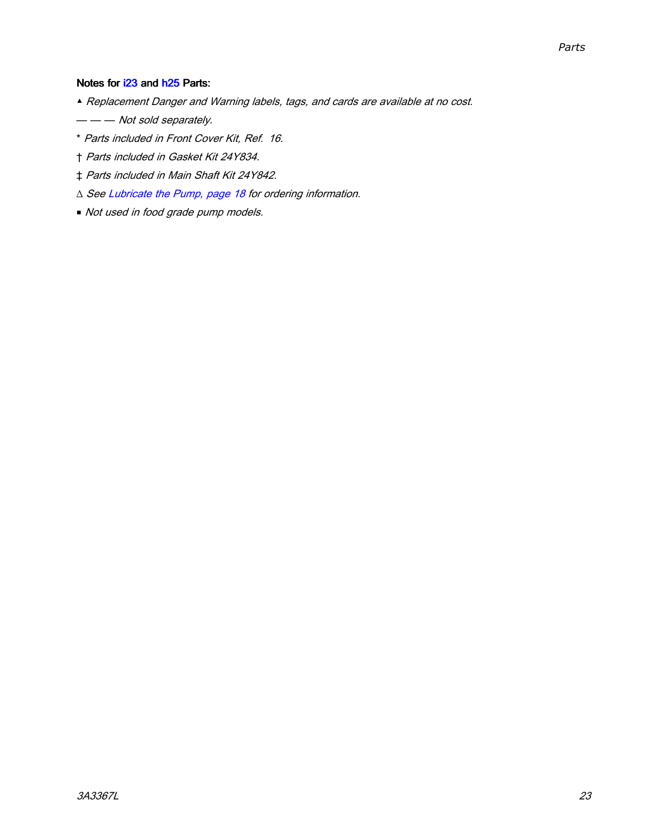### Notes for i23 and h25 Parts:

- ▲ Replacement Danger and Warning labels, tags, and cards are available at no cost.
- — Not sold separately.
- \* Parts included in Front Cover Kit, Ref. 16.
- † Parts included in Gasket Kit 24Y834.
- ‡ Parts included in Main Shaft Kit 24Y842.
- <sup>∆</sup> See [Lubricate](#page-17-0) the Pump, page [18](#page-17-0) for ordering information.
- Not used in food grade pump models.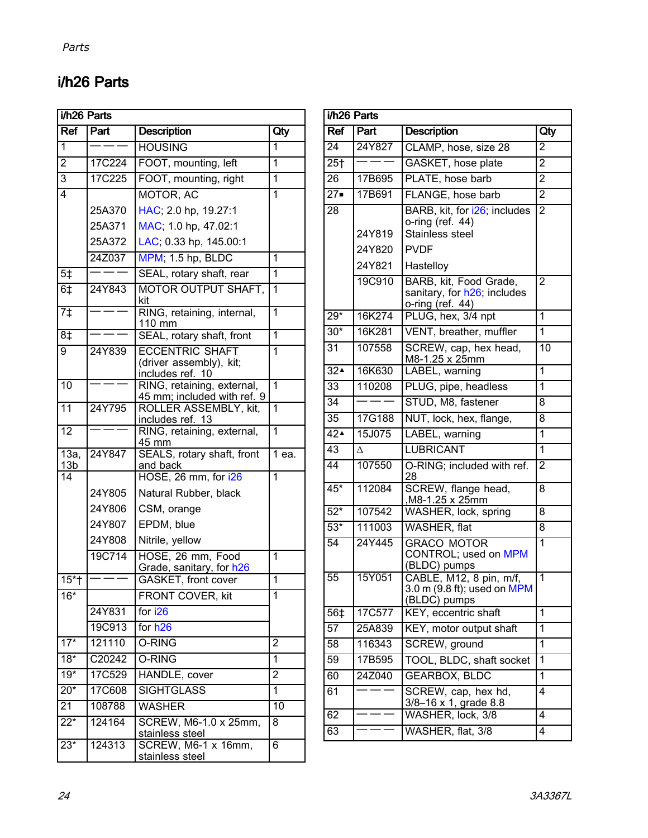## i/h26 Parts

| i/h26 Parts                           |        |                                                                                    |                 |  |
|---------------------------------------|--------|------------------------------------------------------------------------------------|-----------------|--|
| <b>Ref</b>                            | Part   | <b>Description</b>                                                                 | Qty             |  |
| 1                                     |        | <b>HOUSING</b>                                                                     | 1               |  |
| $\overline{2}$                        | 17C224 | FOOT, mounting, left                                                               | 1               |  |
| $\overline{3}$                        | 17C225 | FOOT, mounting, right                                                              | 1               |  |
| 4                                     |        | MOTOR, AC                                                                          | 1               |  |
|                                       | 25A370 | HAC; 2.0 hp, 19.27:1                                                               |                 |  |
|                                       | 25A371 | MAC; 1.0 hp, 47.02:1                                                               |                 |  |
|                                       | 25A372 | LAC; 0.33 hp, 145.00:1                                                             |                 |  |
|                                       | 24Z037 | MPM; 1.5 hp, BLDC                                                                  | 1               |  |
| $5+$                                  |        | SEAL, rotary shaft, rear                                                           | 1               |  |
| 6 <sup>†</sup>                        | 24Y843 | <b>MOTOR OUTPUT SHAFT,</b><br>kit                                                  | $\mathbf 1$     |  |
| $7+$                                  | I      | RING, retaining, internal,<br>110 mm                                               | $\overline{1}$  |  |
| 8‡                                    |        | SEAL, rotary shaft, front                                                          | $\overline{1}$  |  |
| 9                                     | 24Y839 | <b>ECCENTRIC SHAFT</b><br>(driver assembly), kit;<br>includes ref. 10              | 1               |  |
| 10                                    |        | RING, retaining, external,<br>45 mm; included with ref. 9<br>ROLLER ASSEMBLY, kit, | $\mathbf{1}$    |  |
| $\overline{11}$                       | 24Y795 | includes ref. 13                                                                   | 1               |  |
| $\overline{12}$                       |        | RING, retaining, external,<br>45 mm                                                | $\overline{1}$  |  |
| $\overline{13a}$ ,<br>13 <sub>b</sub> | 24Y847 | SEALS, rotary shaft, front<br>and back                                             | 1 ea.           |  |
| 14                                    |        | HOSE, 26 mm, for i26                                                               | $\overline{1}$  |  |
|                                       | 24Y805 | Natural Rubber, black                                                              |                 |  |
|                                       | 24Y806 | CSM, orange                                                                        |                 |  |
|                                       | 24Y807 | EPDM, blue                                                                         |                 |  |
|                                       | 24Y808 | Nitrile, yellow                                                                    |                 |  |
|                                       | 19C714 | HOSE, 26 mm, Food<br>Grade, sanitary, for h26<br>GASKET, front cover               | $\mathbf 1$     |  |
| $15 +$                                |        |                                                                                    | $\overline{1}$  |  |
| $16*$                                 |        | FRONT COVER, kit                                                                   | $\mathbf 1$     |  |
|                                       | 24Y831 | for i26                                                                            |                 |  |
|                                       | 19C913 | for h <sub>26</sub>                                                                |                 |  |
| $\overline{17^*}$                     | 121110 | O-RING                                                                             | $\overline{2}$  |  |
| $18*$                                 | C20242 | O-RING                                                                             | 1               |  |
| $19*$                                 | 17C529 | HANDLE, cover                                                                      | $\overline{2}$  |  |
| $20*$                                 | 17C608 | <b>SIGHTGLASS</b>                                                                  | 1               |  |
| $\overline{21}$                       | 108788 | <b>WASHER</b>                                                                      | $\overline{10}$ |  |
| $22*$                                 | 124164 | SCREW, M6-1.0 x 25mm,<br>stainless steel                                           | 8               |  |
| $23*$                                 | 124313 | SCREW, M6-1 x 16mm,<br>stainless steel                                             | 6               |  |

| i/h26 Parts     |                            |                                                                                                 |                |  |
|-----------------|----------------------------|-------------------------------------------------------------------------------------------------|----------------|--|
| Ref             | Part                       | <b>Description</b>                                                                              | Qty            |  |
| 24              | 24Y827                     | CLAMP, hose, size 28                                                                            | $\overline{2}$ |  |
| $25+$           |                            | GASKET, hose plate                                                                              | $\overline{2}$ |  |
| 26              | 17B695                     | PLATE, hose barb                                                                                | $\overline{2}$ |  |
| $27 -$          | 17B691                     | FLANGE, hose barb                                                                               | $\overline{2}$ |  |
| 28              | 24Y819<br>24Y820<br>24Y821 | BARB, kit, for i26; includes<br>o-ring (ref. 44)<br>Stainless steel<br><b>PVDF</b><br>Hastelloy | $\overline{2}$ |  |
|                 | 19C910                     | BARB, kit, Food Grade,<br>sanitary, for h26; includes<br>o-ring (ref. 44)                       | $\overline{2}$ |  |
| $29*$           | 16K274                     | PLUG, hex, 3/4 npt                                                                              | 1              |  |
| $30*$           | 16K281                     | VENT, breather, muffler                                                                         | 1              |  |
| 31              | 107558                     | SCREW, cap, hex head,<br>M8-1.25 x 25mm                                                         | 10             |  |
| 32 <sup>2</sup> | 16K630                     | LABEL, warning                                                                                  | $\mathbf{1}$   |  |
| $\overline{33}$ | 110208                     | PLUG, pipe, headless                                                                            | $\mathbf{1}$   |  |
| $\overline{34}$ |                            | STUD, M8, fastener                                                                              | 8              |  |
| $\overline{35}$ | 17G188                     | NUT, lock, hex, flange,                                                                         | 8              |  |
| 42 <sup>2</sup> | 15J075                     | LABEL, warning                                                                                  | $\mathbf{1}$   |  |
| 43              | Δ                          | <b>LUBRICANT</b>                                                                                | 1              |  |
| 44              | 107550                     | O-RING; included with ref.<br>28                                                                | $\overline{2}$ |  |
| $45*$           | 112084                     | SCREW, flange head,<br>M8-1.25 x 25mm,                                                          | $\overline{8}$ |  |
| $52*$           | 107542                     | WASHER, lock, spring                                                                            | 8              |  |
| $53*$           | 111003                     | WASHER, flat                                                                                    | 8              |  |
| $\overline{54}$ | 24Y445                     | <b>GRACO MOTOR</b><br>CONTROL; used on MPM                                                      | 1              |  |
| 55              | 15Y051                     | (BLDC) pumps<br>CABLE, M12, 8 pin, m/f,<br>3.0 m (9.8 ft); used on MPM<br>(BLDC) pumps          | 1              |  |
| 56‡             | 17C577                     | KEY, eccentric shaft                                                                            | 1              |  |
| $\overline{57}$ | 25A839                     | KEY, motor output shaft                                                                         | 1              |  |
| 58              | 116343                     | SCREW, ground                                                                                   | 1              |  |
| $\overline{59}$ | 17B595                     | TOOL, BLDC, shaft socket                                                                        | 1              |  |
| 60              | 24Z040                     | <b>GEARBOX, BLDC</b>                                                                            | 1              |  |
| 61              |                            | SCREW, cap, hex hd,<br>3/8-16 x 1, grade 8.8                                                    | 4              |  |
| 62              |                            | WASHER, lock, 3/8                                                                               | 4              |  |
| 63              |                            | WASHER, flat, 3/8                                                                               | 4              |  |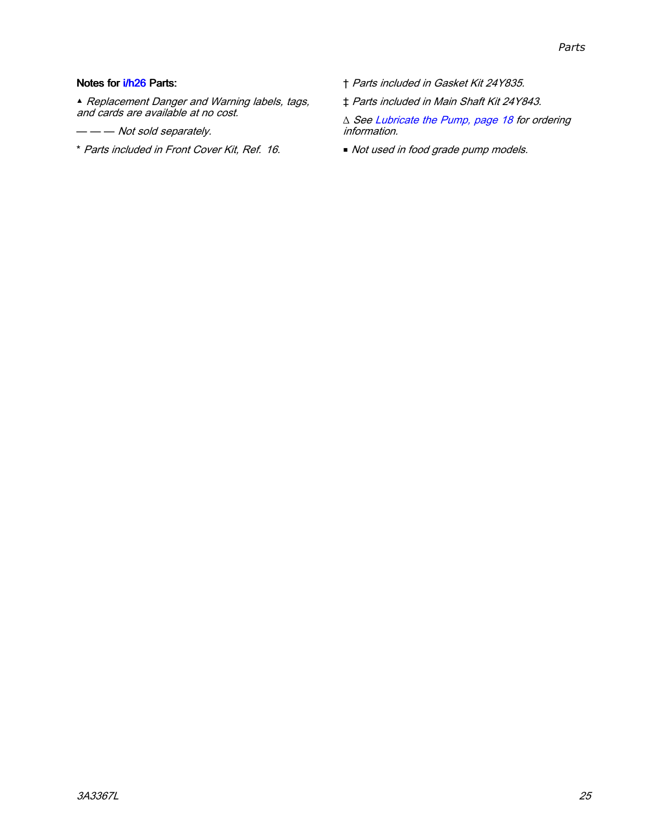### Notes for i/h26 Parts:

▲ Replacement Danger and Warning labels, tags, and cards are available at no cost.

- — Not sold separately.
- \* Parts included in Front Cover Kit, Ref. 16.
- † Parts included in Gasket Kit 24Y835.
- ‡ Parts included in Main Shaft Kit 24Y843.

<sup>∆</sup> See [Lubricate](#page-17-0) the Pump, page [18](#page-17-0) for ordering information.

■ Not used in food grade pump models.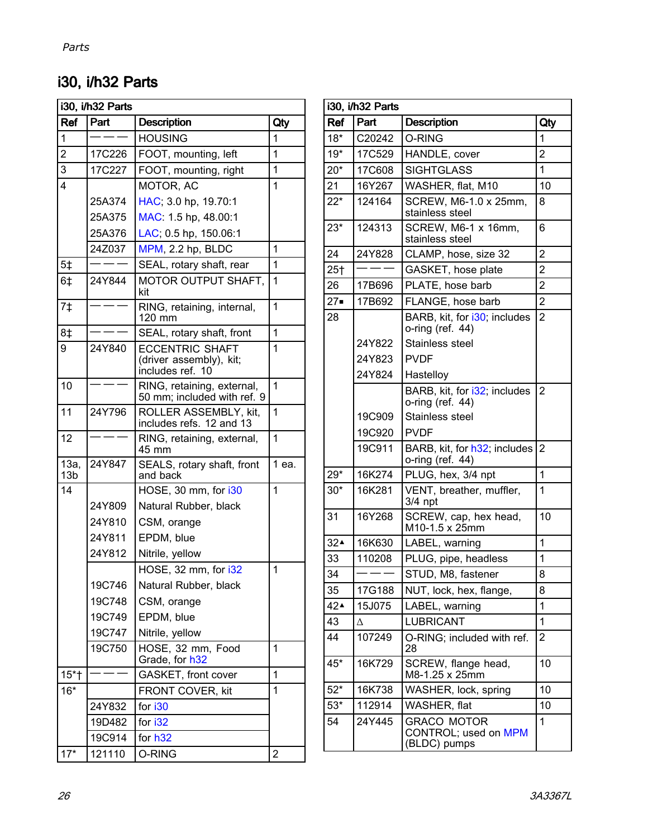## i30, i/h32 Parts

| i30, i/h32 Parts        |                       |                                                                       |                |  |  |
|-------------------------|-----------------------|-----------------------------------------------------------------------|----------------|--|--|
| Ref                     | Part                  | <b>Description</b>                                                    | Qty            |  |  |
| 1                       |                       | <b>HOUSING</b>                                                        | 1              |  |  |
| $\overline{c}$          | 17C226                | FOOT, mounting, left<br>1                                             |                |  |  |
| 3                       | 17C227                | FOOT, mounting, right                                                 | 1              |  |  |
| 4                       |                       | MOTOR, AC                                                             | 1              |  |  |
|                         | 25A374                | HAC; 3.0 hp, 19.70:1                                                  |                |  |  |
|                         | 25A375                | MAC: 1.5 hp, 48.00:1                                                  |                |  |  |
|                         | 25A376                | LAC; 0.5 hp, 150.06:1                                                 |                |  |  |
|                         | 24Z037                | MPM, 2.2 hp, BLDC                                                     | 1              |  |  |
| 5 <sup>†</sup>          |                       | SEAL, rotary shaft, rear                                              | 1              |  |  |
| 6 <sup>†</sup>          | 24Y844                | MOTOR OUTPUT SHAFT,<br>kit                                            | 1              |  |  |
| 7 <sub>‡</sub>          |                       | RING, retaining, internal,<br>120 mm                                  | 1              |  |  |
| 8‡                      |                       | SEAL, rotary shaft, front                                             | $\mathbf{1}$   |  |  |
| 9                       | 24Y840                | <b>ECCENTRIC SHAFT</b><br>(driver assembly), kit;<br>includes ref. 10 | 1              |  |  |
| 10                      |                       | RING, retaining, external,<br>50 mm; included with ref. 9             | 1              |  |  |
| 11                      | 24Y796                | 1<br>ROLLER ASSEMBLY, kit,<br>includes refs. 12 and 13                |                |  |  |
| 12                      |                       | 1<br>RING, retaining, external,<br>45 mm                              |                |  |  |
| 13a,<br>13 <sub>b</sub> | 24Y847                | SEALS, rotary shaft, front<br>and back                                | 1 ea.          |  |  |
| 14                      |                       | HOSE, 30 mm, for i30                                                  | 1              |  |  |
|                         | 24Y809                | Natural Rubber, black                                                 |                |  |  |
|                         | 24Y810<br>CSM, orange |                                                                       |                |  |  |
|                         | 24Y811                | EPDM, blue                                                            |                |  |  |
|                         | 24Y812                | Nitrile, yellow                                                       |                |  |  |
|                         |                       | HOSE, 32 mm, for i32                                                  | $\mathbf 1$    |  |  |
|                         | 19C746                | Natural Rubber, black                                                 |                |  |  |
|                         | 19C748                | CSM, orange                                                           |                |  |  |
|                         | 19C749                | EPDM, blue                                                            |                |  |  |
|                         | 19C747                | Nitrile, yellow                                                       |                |  |  |
|                         | 19C750                | HOSE, 32 mm, Food<br>Grade, for h32                                   | 1              |  |  |
| $15*$                   |                       | GASKET, front cover                                                   | 1              |  |  |
| $16*$                   |                       | FRONT COVER, kit                                                      | 1              |  |  |
|                         | 24Y832                | for i30                                                               |                |  |  |
| for i32<br>19D482       |                       |                                                                       |                |  |  |
|                         | 19C914                | for h32                                                               |                |  |  |
| $17*$                   | 121110                | O-RING                                                                | $\overline{c}$ |  |  |

| i30, i/h32 Parts |        |                                                                 |                |  |  |
|------------------|--------|-----------------------------------------------------------------|----------------|--|--|
| Ref              | Part   | <b>Description</b>                                              | Qty            |  |  |
| $18*$            | C20242 | O-RING                                                          | 1              |  |  |
| $19*$            | 17C529 | HANDLE, cover                                                   | $\overline{2}$ |  |  |
| $20*$            | 17C608 | <b>SIGHTGLASS</b>                                               | 1              |  |  |
| 21               | 16Y267 | WASHER, flat, M10                                               | 10             |  |  |
| $22*$            | 124164 | SCREW, M6-1.0 x 25mm,<br>stainless steel                        | 8              |  |  |
| $23*$            | 124313 | SCREW, M6-1 x 16mm,<br>stainless steel                          | 6              |  |  |
| 24               | 24Y828 | CLAMP, hose, size 32                                            | $\overline{2}$ |  |  |
| 25 <sub>†</sub>  |        | GASKET, hose plate                                              | $\overline{2}$ |  |  |
| 26               | 17B696 | PLATE, hose barb                                                | $\overline{2}$ |  |  |
| $27 -$           | 17B692 | FLANGE, hose barb                                               | $\overline{2}$ |  |  |
| 28               |        | BARB, kit, for i30; includes<br>o-ring (ref. 44)                | $\overline{2}$ |  |  |
|                  | 24Y822 | Stainless steel                                                 |                |  |  |
|                  | 24Y823 | <b>PVDF</b>                                                     |                |  |  |
|                  | 24Y824 | Hastelloy                                                       |                |  |  |
|                  |        | BARB, kit, for i32; includes<br>o-ring (ref. 44)                | $\overline{2}$ |  |  |
|                  | 19C909 | Stainless steel                                                 |                |  |  |
|                  | 19C920 | <b>PVDF</b>                                                     |                |  |  |
|                  | 19C911 | BARB, kit, for h32; includes<br>o-ring (ref. 44)                | $\overline{2}$ |  |  |
| 29*              | 16K274 | PLUG, hex, 3/4 npt                                              | 1              |  |  |
| $30*$            | 16K281 | VENT, breather, muffler,<br>3/4 npt                             | $\mathbf 1$    |  |  |
| 31               | 16Y268 | SCREW, cap, hex head,<br>M10-1.5 x 25mm                         | 10             |  |  |
| $32^$            | 16K630 | LABEL, warning                                                  | 1              |  |  |
| 33               | 110208 | PLUG, pipe, headless                                            | 1              |  |  |
| 34               |        | STUD, M8, fastener                                              | 8              |  |  |
| 35               | 17G188 | NUT, lock, hex, flange,                                         | 8              |  |  |
| 42▲              | 15J075 | LABEL, warning                                                  | 1              |  |  |
| 43               | Δ      | <b>LUBRICANT</b>                                                | 1              |  |  |
| 44               | 107249 | O-RING; included with ref.<br>28                                | 2              |  |  |
| $45*$            | 16K729 | SCREW, flange head,<br>10<br>M8-1.25 x 25mm                     |                |  |  |
| $52*$            | 16K738 | WASHER, lock, spring                                            | 10             |  |  |
| $53*$            | 112914 | WASHER, flat                                                    | 10             |  |  |
| 54               | 24Y445 | <b>GRACO MOTOR</b><br>1<br>CONTROL; used on MPM<br>(BLDC) pumps |                |  |  |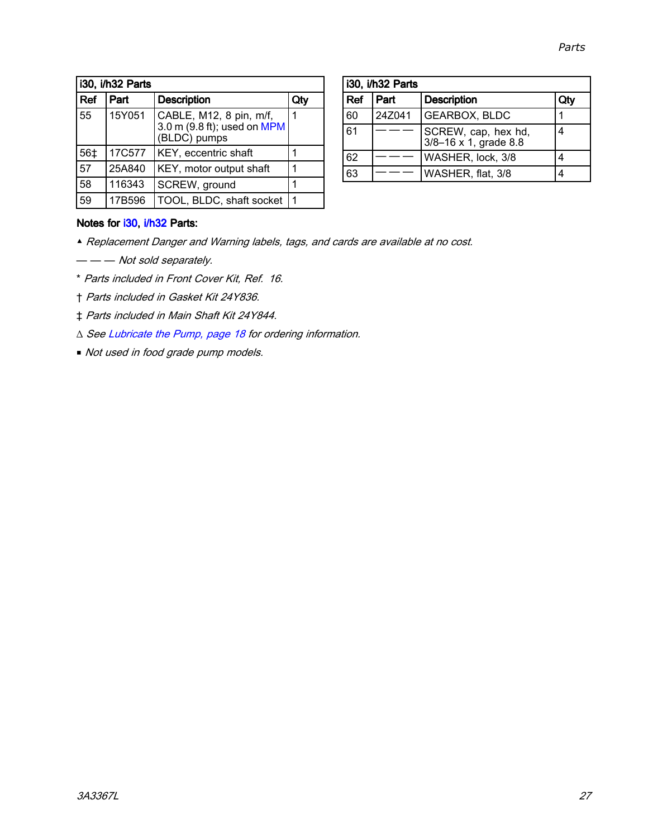| i30, i/h32 Parts |        |                                                                        |     |
|------------------|--------|------------------------------------------------------------------------|-----|
| <b>Ref</b>       | Part   | <b>Description</b>                                                     | Qtv |
| 55               | 15Y051 | CABLE, M12, 8 pin, m/f,<br>3.0 m (9.8 ft); used on MPM<br>(BLDC) pumps |     |
| 56‡              | 17C577 | KEY, eccentric shaft                                                   |     |
| 57               | 25A840 | KEY, motor output shaft                                                | 1   |
| 58               | 116343 | SCREW, ground                                                          |     |
| 59               | 17B596 | TOOL, BLDC, shaft socket                                               | 1   |

| i30, i/h32 Parts |                            |                                              |   |  |
|------------------|----------------------------|----------------------------------------------|---|--|
| Ref              | Part<br><b>Description</b> |                                              |   |  |
| 60               | 24Z041                     | <b>GEARBOX, BLDC</b>                         |   |  |
| 61               |                            | SCREW, cap, hex hd,<br>3/8-16 x 1, grade 8.8 |   |  |
| 62               |                            | WASHER, lock, 3/8                            |   |  |
| 63               |                            | WASHER, flat, 3/8                            | Λ |  |

### Notes for i30, i/h32 Parts:

- ▲ Replacement Danger and Warning labels, tags, and cards are available at no cost.
- — Not sold separately.
- \* Parts included in Front Cover Kit, Ref. 16.
- † Parts included in Gasket Kit 24Y836.
- ‡ Parts included in Main Shaft Kit 24Y844.
- <sup>∆</sup> See [Lubricate](#page-17-0) the Pump, page [18](#page-17-0) for ordering information.
- Not used in food grade pump models.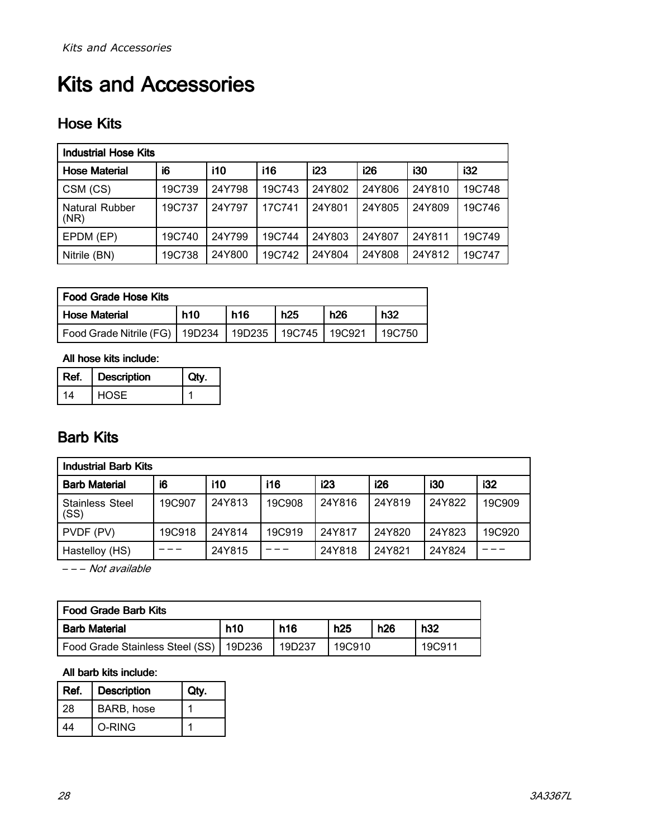# <span id="page-27-0"></span>Kits and Accessories

## Hose Kits

| <b>Industrial Hose Kits</b>   |        |            |            |        |        |        |        |
|-------------------------------|--------|------------|------------|--------|--------|--------|--------|
| <b>Hose Material</b>          | i6     | <b>i10</b> | <b>i16</b> | i23    | i26    | i30    | i32    |
| CSM (CS)                      | 19C739 | 24Y798     | 19C743     | 24Y802 | 24Y806 | 24Y810 | 19C748 |
| <b>Natural Rubber</b><br>(NR) | 19C737 | 24Y797     | 17C741     | 24Y801 | 24Y805 | 24Y809 | 19C746 |
| EPDM (EP)                     | 19C740 | 24Y799     | 19C744     | 24Y803 | 24Y807 | 24Y811 | 19C749 |
| Nitrile (BN)                  | 19C738 | 24Y800     | 19C742     | 24Y804 | 24Y808 | 24Y812 | 19C747 |

| <b>Food Grade Hose Kits</b> |        |            |        |            |        |
|-----------------------------|--------|------------|--------|------------|--------|
| <b>Hose Material</b>        | h10    | <b>h16</b> | h25    | <b>h26</b> | h32    |
| Food Grade Nitrile (FG)     | 19D234 | 19D235     | 19C745 | 19C921     | 19C750 |

All hose kits include:

| Ref. | <b>Description</b> |  |
|------|--------------------|--|
| 14   | <b>HOSE</b>        |  |

## Barb Kits

| <b>Industrial Barb Kits</b>    |        |        |            |        |        |            |        |
|--------------------------------|--------|--------|------------|--------|--------|------------|--------|
| <b>Barb Material</b>           | i6     | i10    | <b>i16</b> | i23    | i26    | <b>i30</b> | i32    |
| <b>Stainless Steel</b><br>(SS) | 19C907 | 24Y813 | 19C908     | 24Y816 | 24Y819 | 24Y822     | 19C909 |
| PVDF (PV)                      | 19C918 | 24Y814 | 19C919     | 24Y817 | 24Y820 | 24Y823     | 19C920 |
| Hastelloy (HS)                 |        | 24Y815 |            | 24Y818 | 24Y821 | 24Y824     |        |

– – – Not available

| l Food Grade Barb Kits          |            |            |        |     |        |
|---------------------------------|------------|------------|--------|-----|--------|
| <b>Barb Material</b>            | <b>h10</b> | <b>h16</b> | h25    | h26 | h32    |
| Food Grade Stainless Steel (SS) | 19D236     | 19D237     | 19C910 |     | 19C911 |

### All barb kits include:

| Ref. | <b>Description</b> |  |
|------|--------------------|--|
| 28   | BARB, hose         |  |
|      | O-RING             |  |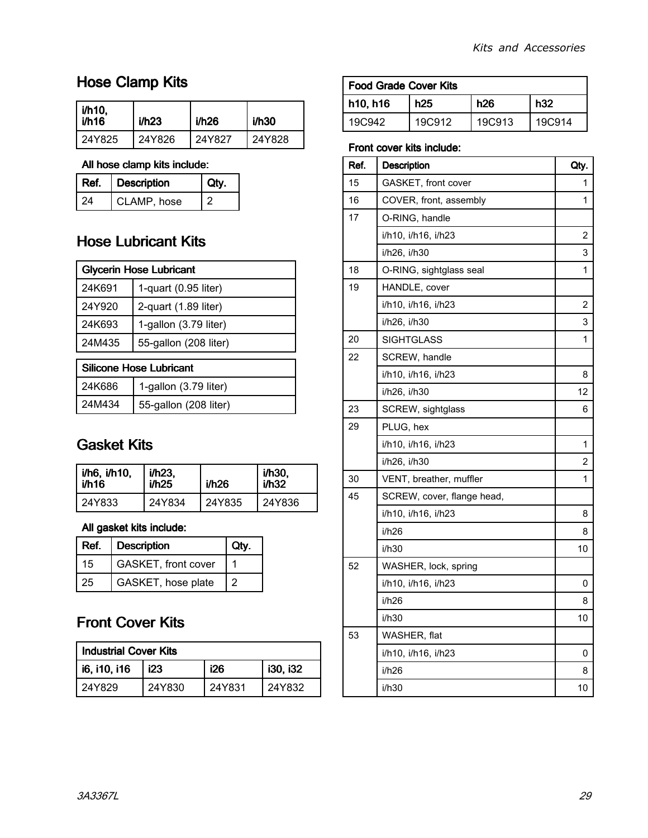## <span id="page-28-0"></span>Hose Clamp Kits

| i/h10,<br>i/h16 | i/h23  | i/h26  | i/h30  |
|-----------------|--------|--------|--------|
| 24Y825          | 24Y826 | 24Y827 | 24Y828 |

### All hose clamp kits include:

| Ref. | <b>Description</b> |  |
|------|--------------------|--|
| 24   | CLAMP, hose        |  |

## Hose Lubricant Kits

| <b>Glycerin Hose Lubricant</b> |                       |  |
|--------------------------------|-----------------------|--|
| 24K691                         | 1-quart (0.95 liter)  |  |
| 24Y920                         | 2-quart (1.89 liter)  |  |
| 24K693                         | 1-gallon (3.79 liter) |  |
| 24M435                         | 55-gallon (208 liter) |  |

| Silicone Hose Lubricant |                       |  |
|-------------------------|-----------------------|--|
| 24K686                  | 1-gallon (3.79 liter) |  |
| 24M434                  | 55-gallon (208 liter) |  |

## Gasket Kits

| <i>i</i> /h6, i/h10, | $i/h23$ , | i/h26  | i/h30, |
|----------------------|-----------|--------|--------|
| i/h16                | i/h25     |        | i/h32  |
| 24Y833               | 24Y834    | 24Y835 | 24Y836 |

### All gasket kits include:

| Ref. | <b>Description</b>  |  |
|------|---------------------|--|
| 15   | GASKET, front cover |  |
| 25   | GASKET, hose plate  |  |

## Front Cover Kits

| <b>Industrial Cover Kits</b> |        |        |                 |  |
|------------------------------|--------|--------|-----------------|--|
| i6, i10, i16                 | i23    | i26    | <b>i30. i32</b> |  |
| 24Y829                       | 24Y830 | 24Y831 | 24Y832          |  |

| <b>Food Grade Cover Kits</b> |        |        |        |  |
|------------------------------|--------|--------|--------|--|
| h10, h16                     | h25    | h26    | h32    |  |
| 19C942                       | 19C912 | 19C913 | 19C914 |  |

### Front cover kits include:

| Ref. | <b>Description</b>         | Qty. |
|------|----------------------------|------|
| 15   | GASKET, front cover        | 1    |
| 16   | COVER, front, assembly     | 1    |
| 17   | O-RING, handle             |      |
|      | i/h10, i/h16, i/h23        | 2    |
|      | i/h26, i/h30               | 3    |
| 18   | O-RING, sightglass seal    | 1    |
| 19   | HANDLE, cover              |      |
|      | i/h10, i/h16, i/h23        | 2    |
|      | i/h26, i/h30               | 3    |
| 20   | <b>SIGHTGLASS</b>          | 1    |
| 22   | SCREW, handle              |      |
|      | i/h10, i/h16, i/h23        | 8    |
|      | i/h26, i/h30               | 12   |
| 23   | SCREW, sightglass          | 6    |
| 29   | PLUG, hex                  |      |
|      | i/h10, i/h16, i/h23        | 1    |
|      | i/h26, i/h30               | 2    |
| 30   | VENT, breather, muffler    | 1    |
| 45   | SCREW, cover, flange head, |      |
|      | i/h10, i/h16, i/h23        | 8    |
|      | i/h26                      | 8    |
|      | i/h30                      | 10   |
| 52   | WASHER, lock, spring       |      |
|      | i/h10, i/h16, i/h23        | 0    |
|      | i/h26                      | 8    |
|      | i/h30                      | 10   |
| 53   | WASHER, flat               |      |
|      | i/h10, i/h16, i/h23        | 0    |
|      | i/h26                      | 8    |
|      | i/h30                      | 10   |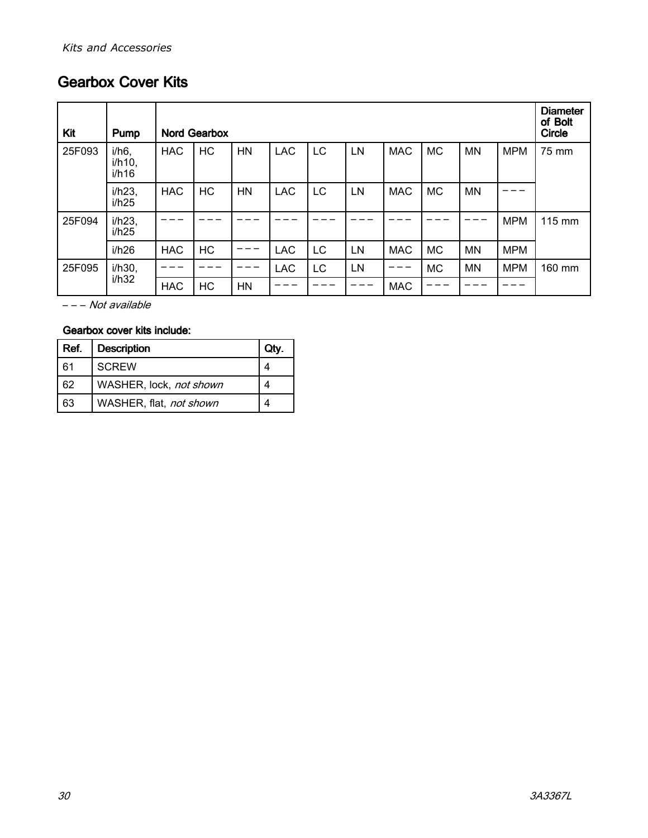## <span id="page-29-0"></span>**Gearbox Cover Kits**

| Kit    | Pump                           |            | <b>Nord Gearbox</b> |           |            |    |    |            |           |           |            |        |  |  |  |
|--------|--------------------------------|------------|---------------------|-----------|------------|----|----|------------|-----------|-----------|------------|--------|--|--|--|
| 25F093 | $i/h6$ ,<br>$i/h10$ ,<br>i/h16 | <b>HAC</b> | HC                  | <b>HN</b> | <b>LAC</b> | LC | LN | <b>MAC</b> | <b>MC</b> | <b>MN</b> | <b>MPM</b> | 75 mm  |  |  |  |
|        | i/h23,<br>i/h25                | <b>HAC</b> | HC                  | <b>HN</b> | <b>LAC</b> | LC | LN | <b>MAC</b> | <b>MC</b> | <b>MN</b> |            |        |  |  |  |
| 25F094 | i/h23,<br>i/h25                |            |                     |           |            |    |    |            |           |           | <b>MPM</b> | 115 mm |  |  |  |
|        | i/h26                          | <b>HAC</b> | HC                  |           | <b>LAC</b> | LC | LN | <b>MAC</b> | <b>MC</b> | <b>MN</b> | <b>MPM</b> |        |  |  |  |
| 25F095 | i/h30,                         |            |                     |           | <b>LAC</b> | LC | LN |            | <b>MC</b> | <b>MN</b> | <b>MPM</b> | 160 mm |  |  |  |
|        | i/h32                          | <b>HAC</b> | HC                  | <b>HN</b> |            |    |    | <b>MAC</b> |           |           |            |        |  |  |  |

– – – Not available

### Gearbox cover kits include:

| Ref. | <b>Description</b>      |  |
|------|-------------------------|--|
| 61   | <b>SCREW</b>            |  |
| 62   | WASHER, lock, not shown |  |
| 63   | WASHER, flat, not shown |  |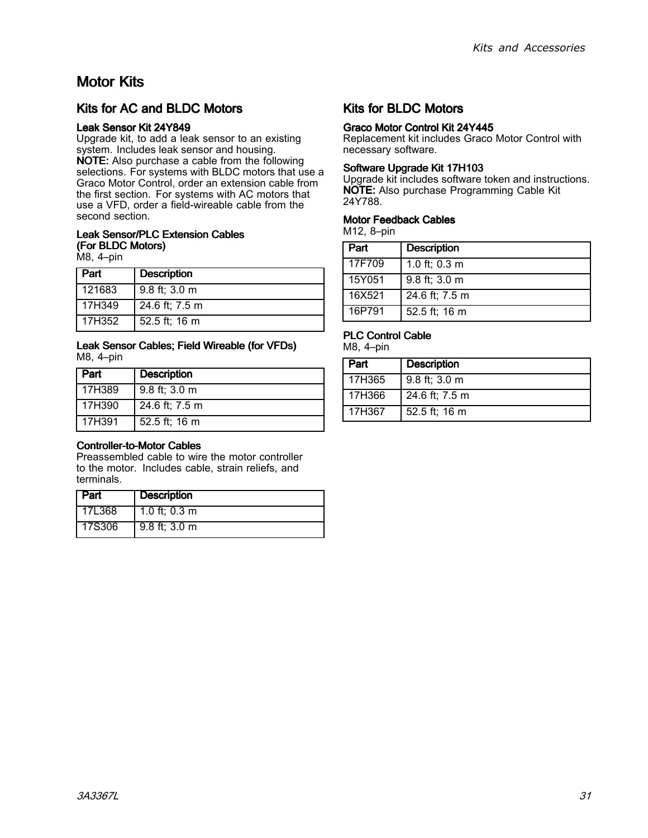## <span id="page-30-0"></span>Motor Kits

### Kits for AC and BLDC Motors

#### Leak Sensor Kit 24Y849

Upgrade kit, to add <sup>a</sup> leak sensor to an existing system. Includes leak sensor and housing. NOTE: Also purchase <sup>a</sup> cable from the following selections. For systems with BLDC motors that use a Graco Motor Control, order an extension cable from the first section. For systems with AC motors that use <sup>a</sup> VFD, order <sup>a</sup> field-wireable cable from the second section.

#### Leak Sensor/PLC Extension Cables (For BLDC Motors)

M8, 4–pin

| Part   | <b>Description</b> |
|--------|--------------------|
| 121683 | $9.8$ ft; 3.0 m    |
| 17H349 | 24.6 ft; 7.5 m     |
| 17H352 | 52.5 ft; 16 m      |

#### Leak Sensor Cables; Field Wireable (for VFDs) M8, 4–pin

| Part   | <b>Description</b> |
|--------|--------------------|
| 17H389 | 9.8 ft; 3.0 m      |
| 17H390 | 24.6 ft; 7.5 m     |
| 17H391 | 52.5 ft; 16 m      |

### Controller-to-Motor Controller-to-Motor Cables

Preassembled cable to wire the motor controller to the motor. Includes cable, strain reliefs, and terminals.

| <b>Part</b> | <b>Description</b>      |
|-------------|-------------------------|
| 17L368      | 1.0 ft; $0.3 \text{ m}$ |
| 17S306      | $9.8$ ft; $3.0$ m       |

### Kits for BLDC Motors

### Graco Motor Control Kit 24Y445

Replacement kit includes Graco Motor Control with necessary software.

#### Software Upgrade Kit 17H103

Upgrade kit includes software token and instructions. NOTE: Also purchase Programming Cable Kit 24Y788.

#### **Motor Feedback Cables**

M12, 8–pin

| Part   | <b>Description</b> |
|--------|--------------------|
| 17F709 | 1.0 ft; 0.3 m      |
| 15Y051 | 9.8 ft; 3.0 m      |
| 16X521 | 24.6 ft; 7.5 m     |
| 16P791 | 52.5 ft; 16 m      |

### PLC Control Cable

M8, 4–pin

| Part   | <b>Description</b> |
|--------|--------------------|
| 17H365 | $9.8$ ft; 3.0 m    |
| 17H366 | 24.6 ft; 7.5 m     |
| 17H367 | 52.5 ft; 16 m      |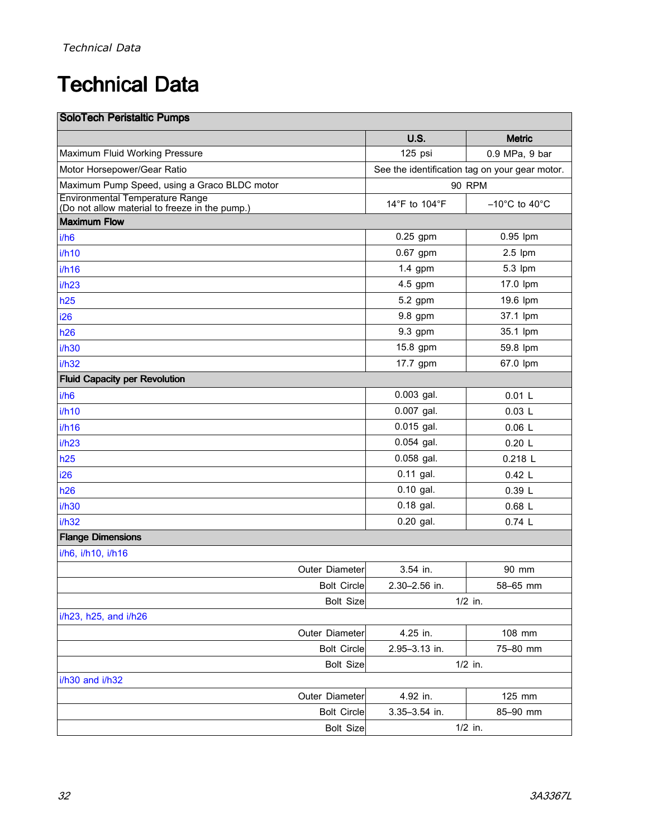# <span id="page-31-0"></span>**Technical Data**

| <b>SoloTech Peristaltic Pumps</b>                                                        |               |                                                |
|------------------------------------------------------------------------------------------|---------------|------------------------------------------------|
|                                                                                          | <b>U.S.</b>   | <b>Metric</b>                                  |
| Maximum Fluid Working Pressure                                                           | 125 psi       | 0.9 MPa, 9 bar                                 |
| Motor Horsepower/Gear Ratio                                                              |               | See the identification tag on your gear motor. |
| Maximum Pump Speed, using a Graco BLDC motor                                             |               | <b>90 RPM</b>                                  |
| <b>Environmental Temperature Range</b><br>(Do not allow material to freeze in the pump.) | 14°F to 104°F | $-10^{\circ}$ C to $40^{\circ}$ C              |
| <b>Maximum Flow</b>                                                                      |               |                                                |
| i/h6                                                                                     | $0.25$ gpm    | 0.95 lpm                                       |
| i/h10                                                                                    | 0.67 gpm      | $2.5$ lpm                                      |
| i/h16                                                                                    | $1.4$ gpm     | 5.3 lpm                                        |
| i/h23                                                                                    | 4.5 gpm       | 17.0 lpm                                       |
| h25                                                                                      | 5.2 gpm       | 19.6 lpm                                       |
| i26                                                                                      | 9.8 gpm       | 37.1 lpm                                       |
| h26                                                                                      | 9.3 gpm       | 35.1 lpm                                       |
| i/h30                                                                                    | 15.8 gpm      | 59.8 lpm                                       |
| i/h32                                                                                    | 17.7 gpm      | 67.0 lpm                                       |
| <b>Fluid Capacity per Revolution</b>                                                     |               |                                                |
| i/h6                                                                                     | $0.003$ gal.  | 0.01L                                          |
| i/h10                                                                                    | $0.007$ gal.  | 0.03L                                          |
| i/h16                                                                                    | 0.015 gal.    | 0.06L                                          |
| i/h23                                                                                    | 0.054 gal.    | 0.20 L                                         |
| h25                                                                                      | 0.058 gal.    | 0.218 L                                        |
| i26                                                                                      | $0.11$ gal.   | 0.42 L                                         |
| h26                                                                                      | 0.10 gal.     | 0.39L                                          |
| i/h30                                                                                    | $0.18$ gal.   | $0.68$ L                                       |
| i/h32                                                                                    | 0.20 gal.     | 0.74L                                          |
| <b>Flange Dimensions</b>                                                                 |               |                                                |
| i/h6, i/h10, i/h16                                                                       |               |                                                |
| Outer Diameter                                                                           | 3.54 in.      | 90 mm                                          |
| <b>Bolt Circle</b>                                                                       | 2.30-2.56 in. | 58-65 mm                                       |
| <b>Bolt Size</b>                                                                         |               | $1/2$ in.                                      |
| i/h23, h25, and i/h26                                                                    |               |                                                |
| Outer Diameter                                                                           | 4.25 in.      | 108 mm                                         |
| <b>Bolt Circle</b>                                                                       | 2.95-3.13 in. | 75-80 mm                                       |
| <b>Bolt Size</b>                                                                         |               | $1/2$ in.                                      |
| i/h30 and i/h32                                                                          |               |                                                |
| Outer Diameter                                                                           | 4.92 in.      | 125 mm                                         |
| <b>Bolt Circle</b>                                                                       | 3.35-3.54 in. | 85-90 mm                                       |
| <b>Bolt Size</b>                                                                         |               | $1/2$ in.                                      |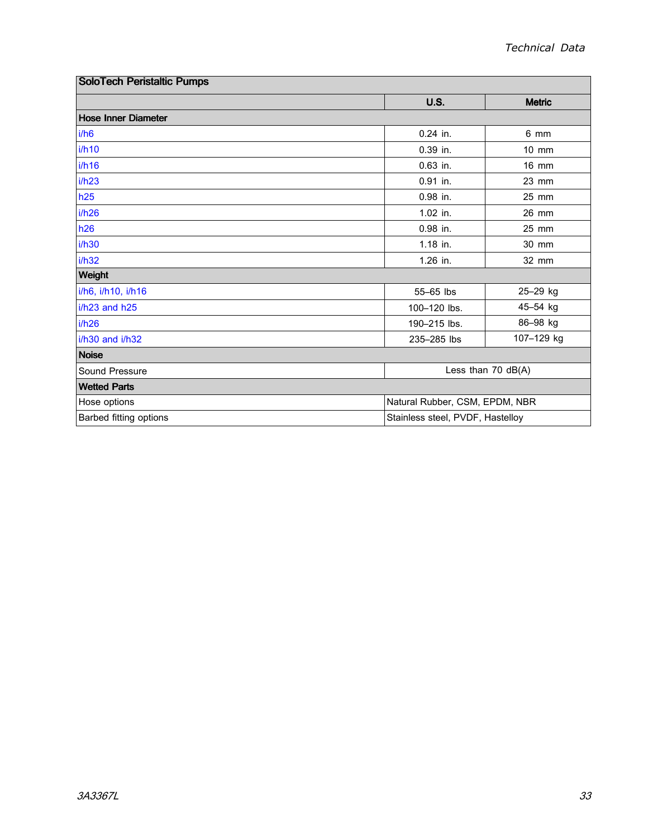| <b>SoloTech Peristaltic Pumps</b> |                                  |                      |  |  |
|-----------------------------------|----------------------------------|----------------------|--|--|
|                                   | <b>U.S.</b>                      | <b>Metric</b>        |  |  |
| <b>Hose Inner Diameter</b>        |                                  |                      |  |  |
| i/h6                              | $0.24$ in.                       | 6 mm                 |  |  |
| i/h10                             | 0.39 in.                         | $10 \text{ mm}$      |  |  |
| i/h16                             | $0.63$ in.                       | $16$ mm              |  |  |
| i/h23                             | 0.91 in.                         | $23$ mm              |  |  |
| h25                               | 0.98 in.                         | 25 mm                |  |  |
| i/h26                             | $1.02$ in.                       | 26 mm                |  |  |
| h26                               | $0.98$ in.                       | $25 \text{ mm}$      |  |  |
| i/h30                             | 1.18 in.                         | 30 mm                |  |  |
| i/h32                             | 1.26 in.                         | 32 mm                |  |  |
| Weight                            |                                  |                      |  |  |
| i/h6, i/h10, i/h16                | 55-65 lbs                        | 25-29 kg             |  |  |
| i/h23 and h25                     | 100-120 lbs.                     | 45-54 kg             |  |  |
| i/h26                             | 190-215 lbs.                     | 86-98 kg             |  |  |
| i/h30 and i/h32                   | 235-285 lbs                      | 107-129 kg           |  |  |
| <b>Noise</b>                      |                                  |                      |  |  |
| Sound Pressure                    |                                  | Less than $70$ dB(A) |  |  |
| <b>Wetted Parts</b>               |                                  |                      |  |  |
| Hose options                      | Natural Rubber, CSM, EPDM, NBR   |                      |  |  |
| <b>Barbed fitting options</b>     | Stainless steel, PVDF, Hastelloy |                      |  |  |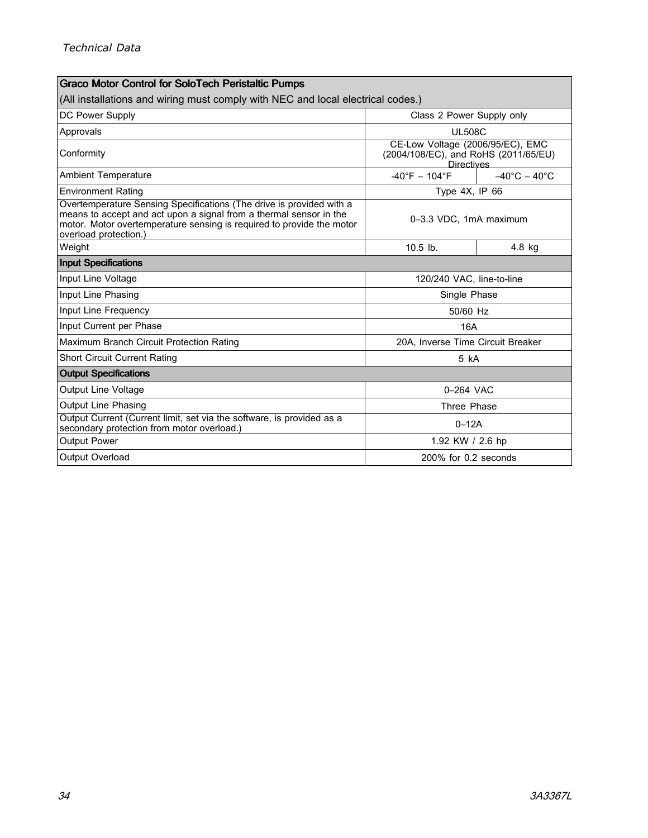| <b>Graco Motor Control for SoloTech Peristaltic Pumps</b>                                                                                                                                                                                    |                                                                                               |                                 |  |  |  |  |
|----------------------------------------------------------------------------------------------------------------------------------------------------------------------------------------------------------------------------------------------|-----------------------------------------------------------------------------------------------|---------------------------------|--|--|--|--|
| (All installations and wiring must comply with NEC and local electrical codes.)                                                                                                                                                              |                                                                                               |                                 |  |  |  |  |
| DC Power Supply                                                                                                                                                                                                                              | Class 2 Power Supply only                                                                     |                                 |  |  |  |  |
| Approvals                                                                                                                                                                                                                                    | <b>UL508C</b>                                                                                 |                                 |  |  |  |  |
| Conformity                                                                                                                                                                                                                                   | CE-Low Voltage (2006/95/EC), EMC<br>(2004/108/EC), and RoHS (2011/65/EU)<br><b>Directives</b> |                                 |  |  |  |  |
| <b>Ambient Temperature</b>                                                                                                                                                                                                                   | $-40^{\circ}F - 104^{\circ}F$                                                                 | $-40^{\circ}$ C $-40^{\circ}$ C |  |  |  |  |
| <b>Environment Rating</b>                                                                                                                                                                                                                    | Type 4X, IP 66                                                                                |                                 |  |  |  |  |
| Overtemperature Sensing Specifications (The drive is provided with a<br>means to accept and act upon a signal from a thermal sensor in the<br>motor. Motor overtemperature sensing is required to provide the motor<br>overload protection.) |                                                                                               | 0-3.3 VDC, 1mA maximum          |  |  |  |  |
| Weight                                                                                                                                                                                                                                       | $10.5$ lb.                                                                                    | $4.8$ kg                        |  |  |  |  |
| <b>Input Specifications</b>                                                                                                                                                                                                                  |                                                                                               |                                 |  |  |  |  |
| Input Line Voltage                                                                                                                                                                                                                           | 120/240 VAC. line-to-line                                                                     |                                 |  |  |  |  |
| Input Line Phasing                                                                                                                                                                                                                           | Single Phase                                                                                  |                                 |  |  |  |  |
| Input Line Frequency                                                                                                                                                                                                                         | 50/60 Hz                                                                                      |                                 |  |  |  |  |
| Input Current per Phase                                                                                                                                                                                                                      | 16A                                                                                           |                                 |  |  |  |  |
| Maximum Branch Circuit Protection Rating                                                                                                                                                                                                     | 20A, Inverse Time Circuit Breaker                                                             |                                 |  |  |  |  |
| <b>Short Circuit Current Rating</b>                                                                                                                                                                                                          | 5 kA                                                                                          |                                 |  |  |  |  |
| <b>Output Specifications</b>                                                                                                                                                                                                                 |                                                                                               |                                 |  |  |  |  |
| Output Line Voltage                                                                                                                                                                                                                          | 0-264 VAC                                                                                     |                                 |  |  |  |  |
| <b>Output Line Phasing</b>                                                                                                                                                                                                                   | Three Phase                                                                                   |                                 |  |  |  |  |
| Output Current (Current limit, set via the software, is provided as a<br>secondary protection from motor overload.)                                                                                                                          | $0-12A$                                                                                       |                                 |  |  |  |  |
| <b>Output Power</b>                                                                                                                                                                                                                          | 1.92 KW / 2.6 hp                                                                              |                                 |  |  |  |  |
| Output Overload                                                                                                                                                                                                                              | 200% for 0.2 seconds                                                                          |                                 |  |  |  |  |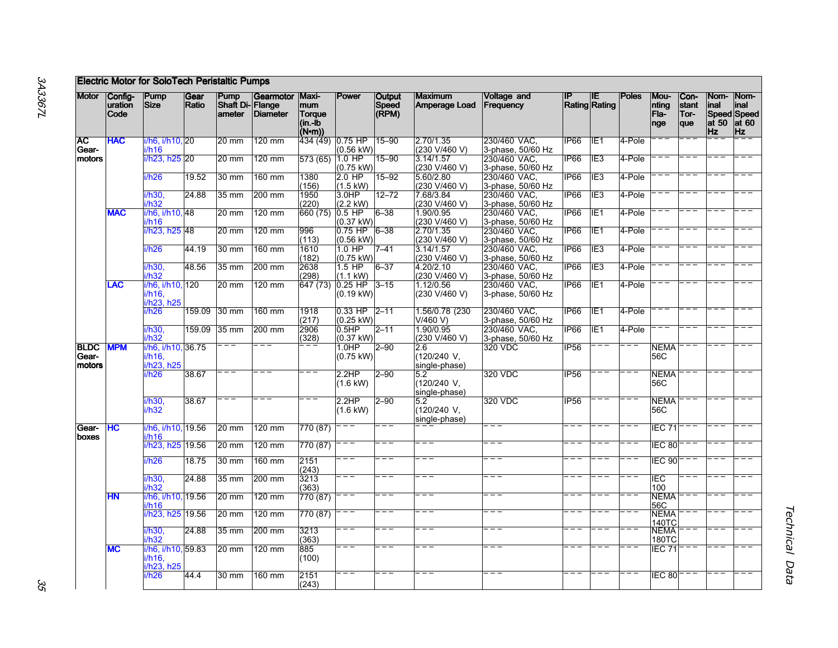|                                |                            | <b>Electric Motor for SoloTech Peristaltic Pumps</b> |               |                                   |                       |                                                 |                                  |                                 |                                     |                                                        |                  |                             |              |                              |                              |                                     |                                                   |
|--------------------------------|----------------------------|------------------------------------------------------|---------------|-----------------------------------|-----------------------|-------------------------------------------------|----------------------------------|---------------------------------|-------------------------------------|--------------------------------------------------------|------------------|-----------------------------|--------------|------------------------------|------------------------------|-------------------------------------|---------------------------------------------------|
| <b>Motor</b>                   | Config-<br>uration<br>Code | Pump<br>Size                                         | Gear<br>Ratio | Pump<br>Shaft Di-Flange<br>ameter | Gearmotor<br>Diameter | Maxi-<br>mum<br>Torque<br>$(in - ib)$<br>(N•m)) | Power                            | <b>Output</b><br>Speed<br>(RPM) | <b>Maximum</b><br>Amperage Load     | <b>Voltage and</b><br>Frequency                        | IP               | IIE<br><b>Rating Rating</b> | <b>Poles</b> | Mou-<br>nting<br>Fla-<br>nge | Con-<br>stant<br>Tor-<br>que | Nom-<br>linal<br>at 50<br><b>Hz</b> | Nom-<br>inal<br>Speed Speed<br>at 60<br><b>Hz</b> |
| <b>AC</b><br>Gear-             | <b>HAC</b>                 | i/h6, i/h10, 20<br>i/h16                             |               | 20 mm                             | $120 \text{ mm}$      | 434 (49) 0.75 HP                                | $(0.56 \text{ kW})$              | $15 - 90$                       | 2.70/1.35<br>(230 V/460 V)          | 230/460 VAC,<br>3-phase, 50/60 Hz                      | IP66             | IE <sub>1</sub>             | 4-Pole       |                              |                              |                                     |                                                   |
| motors                         |                            | i/h23. h25 20                                        |               | $20 \text{ mm}$                   | $120 \text{ mm}$      | 573 (65)                                        | $1.0$ HP<br>$(0.75 \text{ kW})$  | $15 - 90$                       | 3.14/1.57<br>(230 V/460 V)          | 230/460 VAC,<br>3-phase, 50/60 Hz                      | IP66             | IE <sub>3</sub>             | 4-Pole       |                              |                              |                                     |                                                   |
|                                |                            | i/h26                                                | 19.52         | 30 mm                             | 160 mm                | 1380<br>(156)                                   | $2.0$ HP<br>$(1.5 \text{ kW})$   | $15 - 92$                       | 5.60/2.80<br>(230 V/460 V)          | 230/460 VAC,                                           | IP <sub>66</sub> | TIE <sub>3</sub>            | 4-Pole       |                              |                              |                                     |                                                   |
|                                |                            | i/h30,<br>i/h32                                      | 24.88         | $35 \text{ mm}$                   | 200 mm                | 1950<br>(220)                                   | 3.0HP<br>$(2.2$ kW)              | $12 - 72$                       | 7.68/3.84<br>(230 V/460 V)          | 3-phase, 50/60 Hz<br>230/460 VAC,<br>3-phase, 50/60 Hz | IP66             | IE <sub>3</sub>             | 4-Pole       |                              |                              |                                     |                                                   |
|                                | <b>MAC</b>                 | i/h6, i/h10, 48<br>i/h16                             |               | $20 \text{ mm}$                   | 120 mm                | 660(75)                                         | $0.5$ HP<br>$(0.37 \text{ kW})$  | 6–38                            | 1.90/0.95<br>(230 V/460 V)          | 230/460 VAC<br>3-phase, 50/60 Hz                       | <b>IP66</b>      | IE <sub>1</sub>             | 4-Pole       |                              |                              |                                     |                                                   |
|                                |                            | i/h23, h25 48                                        |               | $20 \text{ mm}$                   | 120 mm                | 996<br>(113)                                    | $0.75$ HP<br>$(0.56 \text{ kW})$ | $6 - 38$                        | 2.70/1.35<br>(230 V/460 V)          | 230/460 VAC,<br>3-phase, 50/60 Hz                      | IP <sub>66</sub> | IE <sub>1</sub>             | 4-Pole       |                              |                              |                                     |                                                   |
|                                |                            | i/h26                                                | 44.19         | 30 mm                             | 160 mm                | 1610<br>(182)                                   | $1.0$ HP<br>$(0.75 \text{ kW})$  | $7 - 41$                        | 3.14/1.57<br>(230 V/460 V)          | 230/460 VAC,<br>3-phase, 50/60 Hz                      | IP <sub>66</sub> | IE3                         | 4-Pole       |                              |                              |                                     |                                                   |
|                                |                            | i/h30.<br>i/h32                                      | 48.56         | $35 \text{ mm}$                   | 200 mm                | 2638<br>(298)                                   | $1.5$ HP<br>$(1.1$ kW)           | $6 - 37$                        | 4.20/2.10<br>(230 V/460 V)          | 230/460 VAC.<br>3-phase, 50/60 Hz                      | IP <sub>66</sub> | IE3                         | 4-Pole       |                              |                              |                                     |                                                   |
|                                | <b>LAC</b>                 | i/h6, i/h10, 120<br>i/h16,<br>i/h23, h25             |               | $20 \text{ mm}$                   | 120 mm                | 647 (73)                                        | $0.25$ HP<br>$(0.19 \text{ kW})$ | $3 - 15$                        | 1.12/0.56<br>(230 V/460 V)          | 230/460 VAC,<br>3-phase, 50/60 Hz                      | IP <sub>66</sub> | IE <sub>1</sub>             | 4-Pole       |                              |                              |                                     |                                                   |
|                                |                            | i/h26                                                | 159.09        | $30 \text{ mm}$                   | 160 mm                | 1918<br>(217)                                   | 0.33 HP<br>$(0.25 \text{ kW})$   | $2 - 11$                        | 1.56/0.78 (230<br>V/460 V           | 230/460 VAC,<br>3-phase, 50/60 Hz                      | IP66             | IE <sub>1</sub>             | 4-Pole       |                              |                              |                                     |                                                   |
|                                |                            | i/h30,<br>i/h32                                      | 159.09        | $35 \text{ mm}$                   | 200 mm                | 2906<br>(328)                                   | 0.5HP<br>$(0.37 \text{ kW})$     | $2 - 11$                        | 1.90/0.95<br>(230 V/460 V)          | 230/460 VAC.<br>3-phase, 50/60 Hz                      | IP66             | IE <sub>1</sub>             | 4-Pole       |                              |                              |                                     |                                                   |
| <b>BLDC</b><br>Gear-<br>motors | <b>MPM</b>                 | i/h6, i/h10, 36.75<br>i/h16,<br>i/h23, h25           |               |                                   | $=$ $-$               |                                                 | 1.0HP<br>$(0.75 \text{ kW})$     | $2 - 90$                        | 2.6<br>(120/240 V,<br>single-phase) | 320 VDC                                                | IP <sub>56</sub> |                             | <u>.</u>     | <b>NEMA</b><br>56C           |                              |                                     |                                                   |
|                                |                            | i/h26                                                | 38.67         |                                   |                       |                                                 | 2.2HP<br>$(1.6 \text{ kW})$      | $2 - 90$                        | 5.2<br>(120/240 V,<br>single-phase) | 320 VDC                                                | <b>IP56</b>      |                             |              | <b>NEMA</b><br>56C           |                              |                                     |                                                   |
|                                |                            | i/h30,<br>i/h32                                      | 38.67         |                                   |                       |                                                 | 2.2HP<br>$(1.6$ kW)              | $2 - 90$                        | 5.2<br>(120/240 V,<br>single-phase) | 320 VDC                                                | <b>IP56</b>      |                             |              | <b>NEMA</b><br>56C           |                              |                                     |                                                   |
| Gear-<br>boxes                 | HC                         | i/h6, i/h10, 19.56<br>i/h16                          |               | 20 mm                             | 120 mm                | 770 (87)                                        |                                  |                                 |                                     |                                                        |                  |                             |              | IEC 71                       |                              |                                     |                                                   |
|                                |                            | i/h23, h25                                           | 19.56         | $20 \text{ mm}$                   | 120 mm                | 770 (87)                                        |                                  |                                 |                                     |                                                        |                  |                             |              | IEC 80                       |                              |                                     |                                                   |
|                                |                            | i/h26                                                | 18.75         | $30 \text{ mm}$                   | 160 mm                | 2151<br>(243)                                   | ==                               |                                 |                                     |                                                        |                  |                             |              | IEC 90                       |                              |                                     |                                                   |
|                                |                            | i/h30,<br>i/h32                                      | 24.88         | $35 \text{ mm}$                   | 200 mm                | 3213<br>(363)                                   |                                  |                                 |                                     |                                                        |                  |                             |              | IEC<br>100                   |                              |                                     |                                                   |
|                                | H <sub>N</sub>             | i/h6, i/h10, 19.56<br>i/h16                          |               | $20 \text{ mm}$                   | 120 mm                | 770 (87)                                        |                                  |                                 |                                     |                                                        |                  |                             |              | <b>NEMA</b><br>56C           |                              |                                     |                                                   |
|                                |                            | i/h23, h25 19.56                                     |               | $20 \text{ mm}$                   | 120 mm                | 770 (87)                                        |                                  |                                 |                                     |                                                        |                  |                             |              | <b>NEMA</b><br>140TC         |                              |                                     |                                                   |
|                                |                            | i/h30,<br>i/h32                                      | 24.88         | $35 \text{ mm}$                   | 200 mm                | 3213<br>(363)                                   |                                  |                                 |                                     |                                                        |                  |                             |              | <b>NEMA</b><br>180TC         |                              |                                     |                                                   |
|                                | <b>MC</b>                  | i/h6, i/h10, 59.83<br>i/h16,<br>i/h23, h25           |               | $20 \text{ mm}$                   | $120 \text{ mm}$      | 885<br>(100)                                    |                                  |                                 |                                     |                                                        |                  |                             |              | $EC$ 71                      |                              |                                     |                                                   |
|                                |                            | i/h26                                                | 44.4          | $30 \text{ mm}$                   | 160 mm                | 2151<br>(243)                                   |                                  |                                 |                                     |                                                        |                  |                             |              | EC 80                        |                              |                                     |                                                   |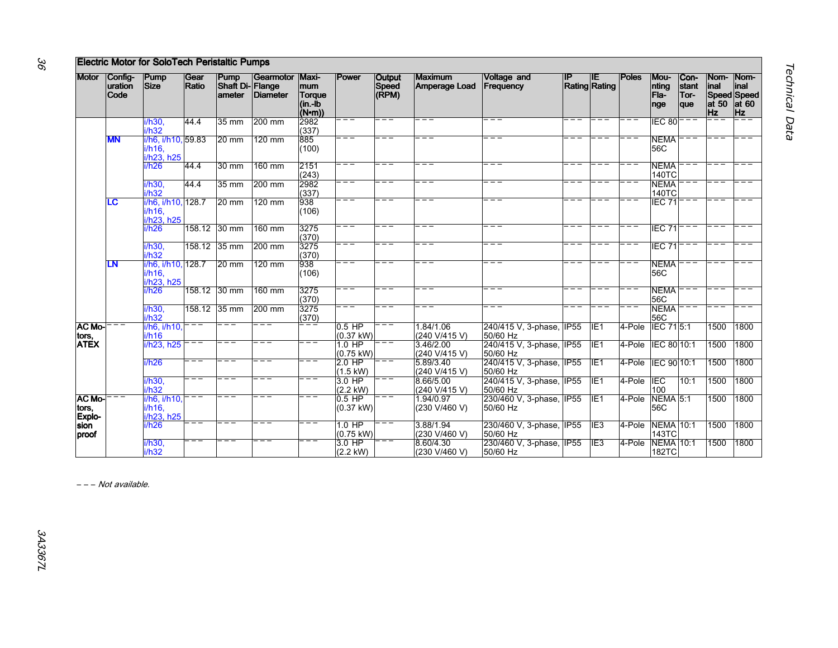|                         |                             | <b>Electric Motor for SoloTech Peristaltic Pumps</b> |               |                                            |                       |                                                     |                                |                                 |                            |                                       |      |                            |              |                                  |                              |                                    |                                                        |
|-------------------------|-----------------------------|------------------------------------------------------|---------------|--------------------------------------------|-----------------------|-----------------------------------------------------|--------------------------------|---------------------------------|----------------------------|---------------------------------------|------|----------------------------|--------------|----------------------------------|------------------------------|------------------------------------|--------------------------------------------------------|
| <b>Motor</b>            | Config-<br>luration<br>Code | Pump<br>Size <sup>1</sup>                            | Gear<br>Ratio | Pump<br><b>Shaft Di- Flange</b><br>lameter | Gearmotor<br>Diameter | <b>Maxi-</b><br>mum<br>Torque<br>(in -ib<br>$(N-m)$ | Power                          | <b>Output</b><br>Speed<br>(RPM) | Maximum<br>Amperage Load   | <b>Voltage and</b><br>Frequency       |      | <b>IP</b><br>Rating Rating | <b>Poles</b> | Mou-<br>nting<br>Fla-<br>nge     | Con-<br>stant<br>Tor-<br>que | Nom-<br>inal<br>at 50<br><b>Hz</b> | Nom-<br>linal<br>Speed Speed<br>$ $ at 60<br><b>Hz</b> |
|                         |                             | i/h30,<br>i/h32                                      | 44.4          | $35 \text{ mm}$                            | 200 mm                | 2982<br>(337)                                       |                                |                                 |                            |                                       |      |                            |              | IEC 80                           |                              |                                    |                                                        |
|                         | <b>MN</b>                   | i/h6, i/h10, 59.83<br>i/h16.<br>i/h23, h25           |               | $20 \text{ mm}$                            | 120 mm                | 885<br>(100)                                        |                                |                                 |                            |                                       |      |                            |              | <b>NEMA</b><br>56C               |                              |                                    |                                                        |
|                         |                             | i/h26                                                | 44.4          | $30 \text{ mm}$                            | 160 mm                | 2151<br>(243)                                       |                                |                                 |                            |                                       |      |                            |              | <b>NEMA</b><br>140TC             |                              |                                    |                                                        |
|                         |                             | i/h30,<br>i/h32                                      | 44.4          | $35 \text{ mm}$                            | 200 mm                | 2982<br>(337)                                       |                                |                                 |                            |                                       |      |                            |              | <b>NEMA</b><br>140TC             |                              |                                    |                                                        |
|                         | LC                          | i/h6, i/h10, 128.7<br>i/h16.<br>i/h23, h25           |               | $20 \text{ mm}$                            | 120 mm                | 938<br>(106)                                        | .<br>.<br>.                    | $=$ $-$                         | .                          |                                       | $ -$ |                            |              | IEC <sub>71</sub>                |                              |                                    |                                                        |
|                         |                             | i/h26                                                |               | 158.12 30 mm                               | 160 mm                | 3275<br>(370)                                       | .                              |                                 | ——<br>———                  |                                       |      |                            |              | IEC <sub>71</sub>                |                              |                                    |                                                        |
|                         |                             | i/h30,<br>i/h32                                      |               | 158.12 35 mm                               | 200 mm                | 3275<br>(370)                                       |                                |                                 |                            |                                       |      |                            |              | IEC 71                           |                              |                                    |                                                        |
|                         | LΝ                          | i/h6. i/h10. 128.7<br>i/h16.<br>i/h23, h25           |               | $20 \text{ mm}$                            | $120$ mm              | 938<br>(106)                                        | i<br>1<br>1                    |                                 |                            |                                       |      |                            |              | <b>NEMA</b><br>56C               |                              |                                    |                                                        |
|                         |                             | i/h26                                                | 158.12        | $30 \text{ mm}$                            | 160 mm                | 3275<br>(370)                                       | $=$ $-$                        |                                 |                            |                                       |      |                            |              | <b>NEMA</b><br>56C               |                              |                                    |                                                        |
|                         |                             | i/h30,<br>i/h32                                      |               | 158.12 35 mm                               | 200 mm                | 3275<br>(370)                                       | $=$ $=$                        | --                              |                            |                                       |      |                            |              | <b>NEMA</b><br>56C               |                              |                                    |                                                        |
| <b>AC Mo-</b><br>tors,  | ---                         | i/h6, i/h10,<br>i/h16                                |               | ---                                        | ___                   |                                                     | $0.5$ HP<br>$(0.37$ kW)        | ———<br>———                      | 1.84/1.06<br>(240 V/415 V) | 240/415 V, 3-phase, IP55<br>50/60 Hz  |      | IIE <sub>1</sub>           | 4-Pole       | <b>IEC 715:1</b>                 |                              | 1500                               | 1800                                                   |
| <b>ATEX</b>             |                             | i/h23. h25                                           |               |                                            |                       |                                                     | $1.0$ HP<br>(0.75 kW)          |                                 | 3.46/2.00<br>(240 V/415 V) | 240/415 V, 3-phase, IP55<br>50/60 Hz  |      | IE <sub>1</sub>            | 4-Pole       | IEC 80 10:1                      |                              | 1500                               | 1800                                                   |
|                         |                             | i/h26                                                |               |                                            |                       |                                                     | $2.0$ HP<br>(1.5 kW)           |                                 | 5.89/3.40<br>(240 V/415 V) | 240/415 V, 3-phase, IP55<br>50/60 Hz  |      | IIE <sub>1</sub>           | 4-Pole       | IEC 90 10:1                      |                              | 1500                               | 1800                                                   |
|                         |                             | i/h30,<br>i/h32                                      |               |                                            |                       |                                                     | 3.0 HP<br>$(2.2$ kW)           |                                 | 8.66/5.00<br>(240 V/415 V) | 240/415 V, 3-phase, IIP55<br>50/60 Hz |      | IIE <sub>1</sub>           | 4-Pole       | <b>IEC</b><br>100                | 10:1                         | 1500                               | 1800                                                   |
| <b>AC Mo-</b><br>tors,  |                             | i/h6. i/h10.<br>i/h16,<br>i/h23, h25                 |               |                                            |                       |                                                     | $0.5$ HP<br>$(0.37$ kW)        |                                 | 1.94/0.97<br>(230 V/460 V) | 230/460 V, 3-phase, IIP55<br>50/60 Hz |      | IE <sub>1</sub>            | 4-Pole       | <b>NEMA 5:1</b><br>56C           |                              | 1500                               | 1800                                                   |
| Explo-<br>sion<br>proof |                             | i/h26                                                |               |                                            |                       |                                                     | 1.0 HP<br>$(0.75 \text{ kW})$  |                                 | 3.88/1.94<br>(230 V/460 V) | 230/460 V, 3-phase, IIP55<br>50/60 Hz |      | IE <sub>3</sub>            | 4-Pole       | <b>NEMA 10:1</b><br>143TC        |                              | 1500                               | 1800                                                   |
|                         |                             | i/h30,<br>i/h32                                      |               |                                            |                       |                                                     | $3.0$ HP<br>$(2.2 \text{ kW})$ |                                 | 8.60/4.30<br>(230 V/460 V) | 230/460 V, 3-phase, IP55<br>50/60 Hz  |      | IE <sub>3</sub>            | 4-Pole       | <b>NEMA 10:1</b><br><b>182TC</b> |                              | 1500                               | 1800                                                   |

– – – Not available.

36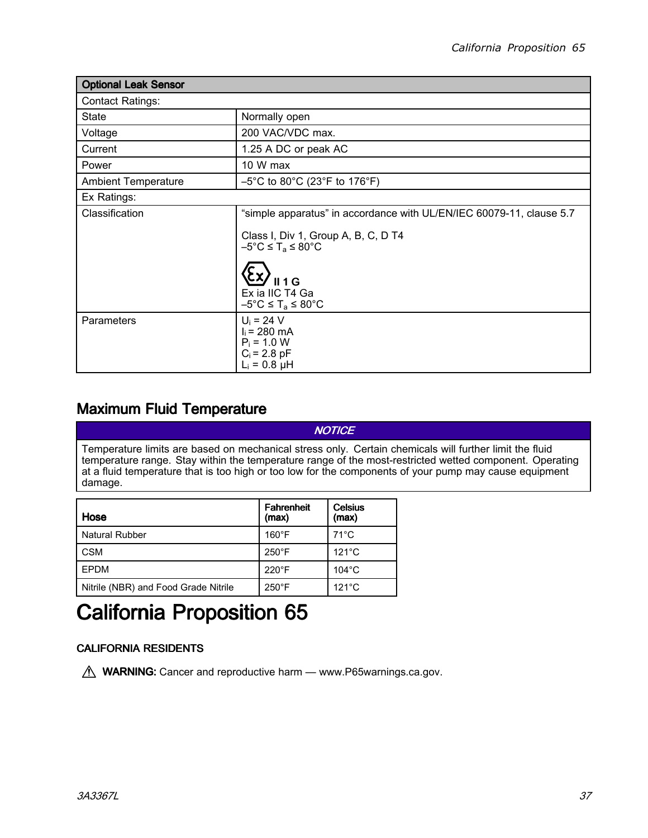<span id="page-36-0"></span>

| <b>Optional Leak Sensor</b> |                                                                                                                                                                                                                                                                               |  |
|-----------------------------|-------------------------------------------------------------------------------------------------------------------------------------------------------------------------------------------------------------------------------------------------------------------------------|--|
| <b>Contact Ratings:</b>     |                                                                                                                                                                                                                                                                               |  |
| <b>State</b>                | Normally open                                                                                                                                                                                                                                                                 |  |
| Voltage                     | 200 VAC/VDC max.                                                                                                                                                                                                                                                              |  |
| Current                     | 1.25 A DC or peak AC                                                                                                                                                                                                                                                          |  |
| Power                       | 10 W max                                                                                                                                                                                                                                                                      |  |
| <b>Ambient Temperature</b>  | $-5^{\circ}$ C to 80 $^{\circ}$ C (23 $^{\circ}$ F to 176 $^{\circ}$ F)                                                                                                                                                                                                       |  |
| Ex Ratings:                 |                                                                                                                                                                                                                                                                               |  |
| Classification              | "simple apparatus" in accordance with UL/EN/IEC 60079-11, clause 5.7<br>Class I, Div 1, Group A, B, C, D T4<br>$-5^{\circ}$ C $\leq$ T <sub>a</sub> $\leq$ 80 $^{\circ}$ C<br><b>II 1 G</b><br>Ex ia IIC T4 Ga<br>$-5^{\circ}$ C $\leq$ T <sub>a</sub> $\leq$ 80 $^{\circ}$ C |  |
| Parameters                  | $U_i = 24 V$<br>$I_i = 280$ mA<br>$P_i = 1.0 W$<br>$C_i = 2.8$ pF<br>$L_i = 0.8 \mu H$                                                                                                                                                                                        |  |

### Maximum Fluid Temperature

Temperature limits are based on mechanical stress only. Certain chemicals will further limit the fluid temperature range. Stay within the temperature range of the most-restricted wetted component. Operating at <sup>a</sup> fluid temperature that is too high or too low for the components of your pump may cause equipment damage.

**NOTICE** 

| Hose                                 | <b>Fahrenheit</b><br>(max) | <b>Celsius</b><br>(max) |
|--------------------------------------|----------------------------|-------------------------|
| <b>Natural Rubber</b>                | $160^{\circ}$ F            | $71^{\circ}$ C          |
| <b>CSM</b>                           | $250^{\circ}$ F            | $121^{\circ}$ C         |
| EPDM                                 | $220^{\circ}$ F            | $104^{\circ}$ C         |
| Nitrile (NBR) and Food Grade Nitrile | $250^{\circ}$ F            | $121^{\circ}$ C         |

# California Proposition 65

### **CALIFORNIA RESIDENTS**

M WARNING: Cancer and reproductive harm — www.P65warnings.ca.gov.